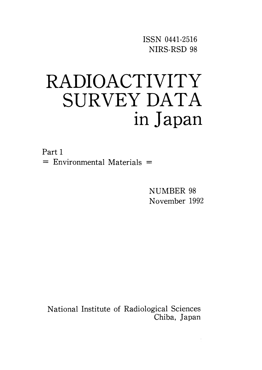ISSN O441-2516 NIRS-RSD 98

# RADIOACTIVITY SURVEY DATA in Japan

Part I  $=$  Environmental Materials  $=$ 

> NUMBER 98 November 1992

National Institute of Radiological Sciences Chiba, Japan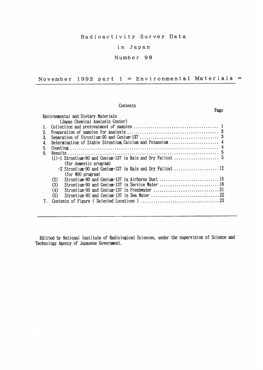### Radioactivity Survey Data

### in Japan

### Number 98

November 1992 part  $1 =$  Environmental Materials =

### Contents

|    |                                                         | Page |
|----|---------------------------------------------------------|------|
|    | Environmental and Dietary Materials                     |      |
|    | (Japan Chemical Analysis Center)                        |      |
| 1. |                                                         |      |
| 2. |                                                         |      |
| 3. |                                                         |      |
| 4. |                                                         |      |
| 5. |                                                         |      |
| 6. |                                                         |      |
|    |                                                         |      |
|    | (for domestic program)                                  |      |
|    |                                                         |      |
|    | (for WHO program)                                       |      |
|    | Strontium-90 and Cesium-137 in Airborne Dust 15<br>(2)  |      |
|    | Strontium-90 and Cesium-137 in Service Water  18<br>(3) |      |
|    | (4)                                                     |      |
|    | (5)                                                     |      |
| 7. |                                                         |      |
|    |                                                         |      |

Editted by National Institute of Radiological Sciences, under the supervision of Science and Technology Agency of Japanese Government.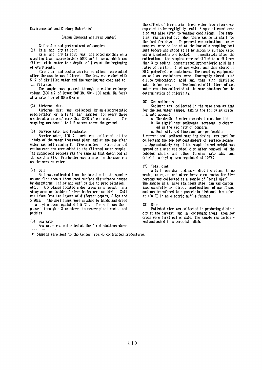Environmental and Dietary Materials\*

### (Japan Chemical Analysis Center)

Collection and pretreatment of samples

(1) Rain and dry fallout

Rain and dry fallout was collected monthly on a sampling tray, approximately  $5000 \text{ cm}^2$  in area, which was filled with water to a depth of 1 cm at the beginning of every month.

Strontium and cesium carrier solutions were added after the sample was filtered. The trav was washed with 5 2 of distilled water and the washing was combined to the filtrate

The sample was passed through a cation exchange column (500 m 2 of Dowex 50W X8,  $50 \sim 100$  mesh, Na form) at a rate flow of 80 m2/min.

(2) Airborne dust

Airborne dust was collected by an electrostatic precipitator or a filter air sampler for every three months at a rate of more than 3000  $\pi^3$  per month. The sampling was done 1 to 1.5 meters above the ground.

#### $(3)$ Service water and freshwater

Service water, 100 2 each, was collected at the intake of the water-treatment plant and at the tap after water was left running for five minutes. Strontium and cesium carriers were added to the filtered water sample. The subsequent process was the same as that described in the section (1). Freshwater was treated in the same way as the service water.

### $(4)$  Soil

Soil was collected from the location in the spacious and flat area without past surface disturbance caused by duststorms, inflow and outflow due to precipitation. etc.. Any places located under trees in a forest, in a stony area or inside of river banks were avoided. Soil was taken from two layers of different depths, 0-5cm and The soil lumps were crushed by hands and dried  $5 - 20$ cm. in a drying oven regulated 105  $\mathbb{C}$ . The soil was then passed through a 2 mm sieve to remove plant roots and pebbles.

 $(5)$  Sea water

Sea water was collected at the fixed stations where

\* Samples were sent to the Center from 46 contracted prefectures.

the effect of terrestrial fresh water from rivers was expected to be negligibly small. A special consideration was also given to weather conditions. The samoling was carried out when there was no rainfall for the last few days. To prevent contamination. water samples were collected at the bow of a sampling boat just before she stood still by scooping surface water using a polyethylene bucket. Immediately after the collection, the samples were acidified to a pH lower than 3 by adding concentrated hydrochloric acid in a ratio of  $\ln \ell$  to 1  $\ell$  of sea water, and then stored in 20 0 polyethylene containers. The sampling equipments as well as containers were thoroughly rinsed with dilute hydrochloric acid and then with distilled Two hundred milliliters of sea vater before use water was also collected at the same stations for the determination of chlorinity.

 $(f)$ Sea sediments

Sediment was collected in the same area as that for the sea water sample, taking the following criteria into account:

- a. The depth of water exceeds 1 m at low tide.
- b. No significant sedimental movement is observed in the vicinity of concern.
- c. Mud, silt and fine sand are preferable.

A conventional sediment sampling device was used for collecting the top few centimeters of surface sediment. Approximately 4kg of the sample in wet weight was spread on a atenless steel dish after removed of the pebbles. shells and other foreign materials, and dried in a drying oven regulated at 105°C.

 $(7)$ Total diet

A full one day ordinary diet including three meals, water, tea and other in-between snacks for five persons was collected as a sample of "total diet". The sample in a large stainless steel pan was carbonized carefully by direct application of gas flame, and was transfered to a porcelain dish and then ashed at 450 ℃ in an electric muffle furnace.

 $(8)$  Rice

Polished rice was collected in producing districts at the harvest and in consuming areas when new crops were first put on sale. The sample was carbonized and ashed in a porcelain dish.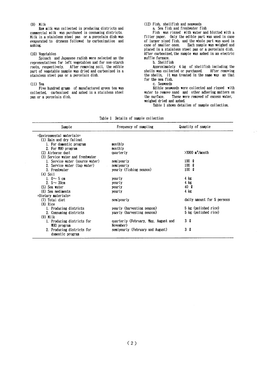### $(9)$  Milk

Raw milk was collected in producing districts and commercial milk was purchased in consuming districts. Milk in a stainless steel pan or a porcelain dish was evaporated to dryness followed by carbonization and ashing.

### (10) Vegetables

Spinach and Japanese radish were selected as the representatives for left vegetables and for non-starch roots, respectively. After removing soil, the edible part of vegetable sample was dried and carbonized in a stainless steel pan or a porcelain dish.

### $(11)$  Tea

Five hundred grams of manufactured green tea was collected, carbonized and ashed in a stainless steel pan or a porcelain dish.

### (12) Fish. shellfish and seaweeds a. Sea fish and freshwater fish

Fish was rinsed with water and blotted with a filter paper. Only the edible part was used in case of larger sized fish, and the whole part was used in Each sample was weighed and case of smaller ones. placed in a stainless steel pan or a porcelain dish. After carbonized, the sample was ashed in an electric muffle furnace.

### b. Shellfish

Approximately 4 kg of shellfish including the shells was collected or purchased. After removing the shells, it was treated in the same way as that for the sea fish.

c. Seaweeds

Edible seaweeds were collected and rinsed with water to remove sand and other adhering matters on These were removed of excess water, the surface. weighed dried and ashed.

Table 1 shows detailes of sample collection.

|  |  | Table 1 Details of sample collection |
|--|--|--------------------------------------|
|  |  |                                      |

| Sample                           | Frequency of sampling                | Quantity of sample            |
|----------------------------------|--------------------------------------|-------------------------------|
| $=$ Environmental materials $=$  |                                      |                               |
| (1) Rain and dry fallout         |                                      |                               |
| 1. For domestic program          | monthly                              |                               |
| 2. For WHO program               | monthly                              |                               |
| (2) Airborne dust                | quarterly                            | $>3000$ m <sup>3</sup> /month |
| (3) Service water and freshwater |                                      |                               |
| 1. Service water (source water)  | semiyearly                           | 100 <sub>2</sub>              |
| 2. Service water (tap water)     | semiyearly                           | 100 <sub>2</sub>              |
| 3. Freshwater                    | yearly (fishing season)              | $100 \Omega$                  |
| $(4)$ Soil                       |                                      |                               |
| 1. $0 \sim 5$ cm                 | yearly                               | 4 kg                          |
| 2. $5 - 20$ cm                   | yearly                               | 4 kg                          |
| (5) Sea water                    | yearly                               | 40 Q                          |
| (6) Sea sediments                | yearly                               | 4 kg                          |
| =Dietary materials=              |                                      |                               |
| (7) Total diet                   | semiyearly                           | daily amount for 5 persons    |
| $(8)$ Rice                       |                                      |                               |
| 1. Producing districts           | yearly (harvesting season)           | 5 kg (polished rice)          |
| 2. Consuming districts           | yaerly (harvesting season)           | 5 kg (polished rice)          |
| $(9)$ Milk                       |                                      |                               |
| 1. Producing districts for       | quarterly (February, May, August and | 3Q                            |
| WHO program                      | November)                            |                               |
| 2. Producing districts for       | semiyearly (February and August)     | 3Q                            |
| domestic program                 |                                      |                               |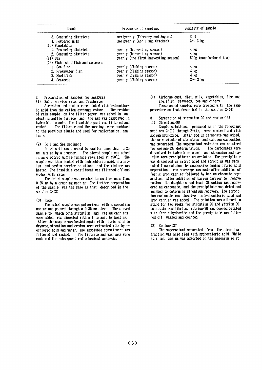| Sample                              | Frequency of sampling                | Quantity of sample      |
|-------------------------------------|--------------------------------------|-------------------------|
| 3. Consuming districts              | semiyearly (February and August)     | 3 Q                     |
| 4. Powdered milk                    | semiyearly (April and October)       | $2 \sim 3$ kg           |
| (10) Vegetables                     |                                      |                         |
| 1. Producing districts              | yearly (harvesting season)           | 4 kg                    |
| 2. Consuming districts              | yearly (harvesting season)           | $4$ kg                  |
| $(11)$ Tea                          | yearly (the first harvesting season) | 500g (manufactured tea) |
| $(12)$ Fish, shellfish and seaveeds |                                      |                         |
| 1. Sea fish                         | yearly (fishing season)              | 4 kg                    |
| 2. Freshwater fish                  | yearly (fishing season)              | $4$ kg                  |
| 3. Shellfish                        | yearly (fishing season)              | $4$ kg                  |
| 4. Seaweeds                         | yearly (fishing season)              | $2 - 3$ kg              |

Preparation of samples for analysis

 $(1)$ Rain, service water and freshwater

Strontium and cesium were eluted with hydrochloric acid from the cation exchange column. The residue of rain sample on the filter paper was ashed in an electric muffle furnace and the ash was dissolved in hydrochloric acid. The insoluble part was filtered and vashed. The filtrate and the washings were combined to the previous eluate and used for radiochemical analysis.

#### (2) Soil and Sea sediment

Dried soil was crushed to smaller ones than 0.25 mm in size by a crusher. The sieved sample was ashed in an electric muffle furnace regulated at 450°C. The sample was then heated with hydrochloric acid, strontjum and cesium carrier solutions and the mixture was heated. The insoluble constituent was filtered off and washed with water.

The dried sample was crushed to smaller ones than 0.25 mm by a crushing machine. The further preparation of the sample was the same as that described in the section  $2-(2)$ .

### $(3)$  Rice

The ashed sample was pulverized with a porcelain mortar and passed through a 0.35 mm sieve. The sieved sample to which both strontium and cesium carriers were added, was digested with nitric acid by heating.

After the sample was heated again with nitric acid to dryness, strontium and cesium were extracted with hydrochloric acid and water. The insoluble constituent was filtered and washed. The filtrate and washings were combined for subsequent radiochemical analysis.

(4) Airborne dust, diet, milk, vegetables, fish and shellfish, seaweeds, tea and others

These ashed samples were treated with the same procedure as that described in the section  $2-(4)$ .

- Separation of strontium-90 and cesium-137
- $(1)$ Strontium-90

Sample solutions, prepared as in the foregoing sections  $2-(1)$  through  $2-(4)$ , were neutralized with sodium hydroxide. After sodium carbonate was added. the precipitate of strontium and calcium carbonates was separated. The supernatant solution was retained for cesium-137 determination. The carbonates were dissolved in hydrochloric acid and stroncium and caloium were precipitated as oxalates. The precipitate was dissolved in nitric acid and strontium was separated from calcium by successive fuming nitric acid separation. Iron scavenge was made after addition of ferric iron carrier followed by barium chromate separation after addition of barium carrier to remove radium, its daughters and lead. Strontium was recovered as carbonate, and the precipitate was dried and weighed to determine strontium recovery. The strontjum carbonate was dissolved in hydrochloric acid and iron carrier was added. The solution was allowed to stand for two weeks for strontium-90 and yttrium-90 to attain equilibrium. Yttrium-90 was coprecipitated with ferric hydroxide and the precipitate was filtered off, washed and counted.

 $Cesium-137$  $(2)$ 

The supernatant separated from the strontium fraction was acidified with hydrochloric acid. While stirring, cesium was adsorbed on the ammonium molyb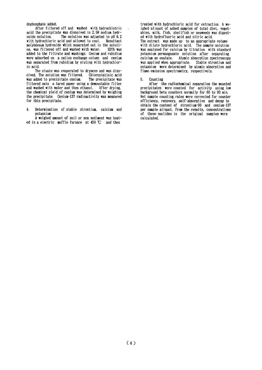dophosphate added.

After filtered off and washed with hydrochlotric acid the precipitate was dissolved in 2.5N sodium hydr-The solution was adjusted to pH 8.2 oxide solution. with hydrochloric acid and allowed to cool. Resultant molybdenum hydroxide which separated out in the solution, was filtered off and washed with water. EDTA was added to the filtrate and washings. Cesium and rubidium were adsorbed on a cation exchange column and cesium was separated from rubidium by eluting with hydrochloric acid.

The eluate was evaporated to dryness and was dissolved. The solution was filtered. Chloroplatinic acid was added to precipitate cesium. The precipitate was filtered onto a tared paper using a demountable filter and washed with water and then ethanol. After drying. the chemical yield of cesium was determined by weighing the precipitate. Cesium-137 radioactivity was measured for this precipitate.

Determination of stable strontium, calcium and  $\boldsymbol{A}$ potassium

A weighed amount of soil or sea sediment was heated in a electric muffle furnace at 450 ℃ and then

treated with hydrochloric acid for extraction. A weighed aliquot of ashed samples of total diet. vegetables, milk, fish, shellfish or seaveeds was digested with hydrofluoric acid and nitric acid. The extract was made up to an appropriate volume with dilute hydrochloric acid. The sample solution was analyzed for calcium by titration with standard potassium permanganate solution after separating calcium as oxalate. Atomic absorption spectroscopy was applied when appropriate. Stable strontium and potassium were determined by atomic absorption and flame emission spectrometry, respectively.

#### $5.$ Counting

After the radiochemical separation the mounted precipitates were counted for activity using low background beta counters normally for 60 to 90 min. Net sample counting rates were corrected for counter efficiency, recovery, self-absorption and decay to obtain the content of strontium-90 and cesium-137 per sample aliquot. From the results, concentrations of these nuclides in the original samples were calculated.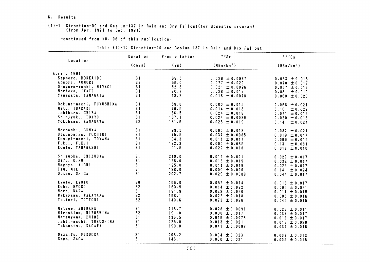### 6. Results

## $(1)-1$  Strontium-90 and Cesium-137 in Rain and Dry Fallout(for domestic program)<br>(from Apr. 1991 to Dec. 1991)

-continued from NO. 96 of this publication-

|                         | Duration | Precipitation | 90Sr                   | 137Cs                                  |
|-------------------------|----------|---------------|------------------------|----------------------------------------|
| Location                | (days)   | (m)           | (MBq/km <sup>2</sup> ) | (M8q/km <sup>2</sup> )                 |
| April, 1991             |          |               |                        |                                        |
| Sapporo, HOKKAIDO       | 31       | 69.5          | $0.029 \pm 0.0087$     | $0.033 \pm 0.018$                      |
| Aomori, AOMORI          | 33       | 56.0          | $0.077 \pm 0.020$      | $0.070 \pm 0.017$                      |
| Onagawa-machi, MIYAGI   | 31       | 52.3          | $0.021 \pm 0.0096$     | $0.067 \pm 0.019$                      |
| Morioka, IWATE          | 31       | 70.7          | $0.028 \pm 0.017$      | $0.061 \pm 0.019$                      |
| Yamagata, YAMAGATA      | 31       | 18.2          | $0.018 \pm 0.0078$     | $0.060 \pm 0.020$                      |
| Ookuma-machi, FUKUSHIMA | 31       | 59.0          | $0.000 \pm 0.015$      | $0.068 \pm 0.021$                      |
| Mito, IBARAKI           | 31       | 70.5          | $0.014 \pm 0.018$      | 0.10<br>± 0.022                        |
| Ichihara, CHIBA         | 31       | 166.5         | $0.024 \pm 0.018$      | $0.071 \pm 0.019$                      |
| Shinjyuku, TOKYO        | 31       | 107.1         | $0.024 \pm 0.0089$     | $0.020 \pm 0.018$                      |
| Yokohama, KANAGAWA      | 32       | 181.6         | $0.026 \pm 0.019$      | 0.14<br>± 0.024                        |
| Maebashi, GUNMA         | 31       | 99.5          | $0.000 \pm 0.018$      | $0.082 \pm 0.021$                      |
| Utsunomiya, TOCHIGI     | 31       | 75.5          | $0.037 \pm 0.0085$     | $0.019 \pm 0.017$                      |
| Kosugi-machi, TOYAMA    | 31       | 104.3         | $0.011 \pm 0.017$      | $0.069 \pm 0.019$                      |
| Fukui, FUKUI            | 31       | 122.3         | $0.000 \pm 0.085$      | $0.13 \pm 0.081$                       |
| Koufu, YAMANASHI        | 31       | 91.5          | $0.022 \pm 0.018$      | $0.018 \pm 0.016$                      |
| Shizuoka, SHIZUOKA      | 31       | 210.0         | $0.012 \pm 0.021$      | $0.029 \pm 0.017$                      |
| Gifu, GIFU              | 31       | 128.0         | $0.018 \pm 0.019$      | $0.032 \pm 0.017$                      |
| Nagoya, AICHI           | 31       | 125.0         | $0.011 \pm 0.019$      | $0.025 \pm 0.017$                      |
| Tsu, MIE                | 31       | 188.0         | $0.000 \pm 0.020$      | 0.14<br>± 0.024                        |
| Ootsu, SHIGA            | 31       | 202.7         | $0.029 \pm 0.0089$     | $0.044 \pm 0.017$                      |
| Kyoto, KYOTO            | 30       | 166.0         | $0.052 \pm 0.014$      | $0.018 \pm 0.017$                      |
| Kobe, HYOGO             | 32       | 159.9         | $0.014 \pm 0.022$      | $0.095 \pm 0.021$                      |
| Nara, NARA              | 31       | 191.9         | $0.033 \pm 0.020$      | $0.011 \pm 0.015$                      |
| Wakayama, WAKAYAMA      | 32       | 168.1         | $0.022 \pm 0.018$      | $0.006 \pm 0.016$                      |
| Tottori, TOTTORI        | 32       | 140.6         | $0.073 \pm 0.026$      | $0.045 \pm 0.015$                      |
| Matsue, SHIMANE         | 31       | 118.7         | $0.028 \pm 0.0091$     |                                        |
| Hiroshima, HIROSHIMA    | 32       | 191.0         | $0.000 \pm 0.017$      | $0.023 \pm 0.011$<br>$0.037 \pm 0.017$ |
| Matsuyama, EHIME        | 31       | 136.5         | $0.016 \pm 0.0078$     | $0.012 \pm 0.017$                      |
| Ishii-machi, TOKUSHIMA  | 31       | 225.0         | $0.013 \pm 0.021$      | $0.018 \pm 0.020$                      |
| Takamatsu, KAGAWA       | 31       | 190.0         | $0.041 \pm 0.0098$     | $0.034 \pm 0.016$                      |
| Dazaifu, FUKUOKA        | 31       | 206.2         | $0.004 \pm 0.023$      | $0.003 \pm 0.013$                      |
| Saga, SAGA              | 31       | 146.1         | $0.000 \pm 0.021$      | $0.005 \pm 0.016$                      |

### Table (1)-1: Strontium-90 and Cesium-137 in Rain and Dry Fallout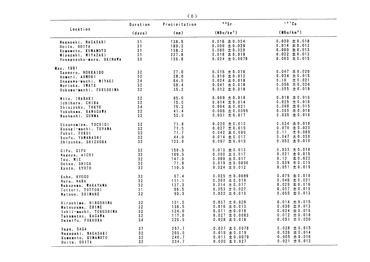|                                                                                                                        | Duration                                             | Precipitation                        | $90$ Sr                                                                                               | 137Cs                                                                                               |
|------------------------------------------------------------------------------------------------------------------------|------------------------------------------------------|--------------------------------------|-------------------------------------------------------------------------------------------------------|-----------------------------------------------------------------------------------------------------|
| Location                                                                                                               | (days)                                               | (mm)                                 | (MBq/km <sup>2</sup> )                                                                                | (MBq/km <sup>2</sup> )                                                                              |
| Nagasaki, NAGASAKI                                                                                                     | 31                                                   | 138.5                                | $0.016 \pm 0.024$                                                                                     | $0.030 \pm 0.018$                                                                                   |
| Ooita, OOITA                                                                                                           | 31                                                   | 180.3                                | $0.000 \pm 0.029$                                                                                     | $0.014 \pm 0.012$                                                                                   |
| Kumamoto, KUMAMOTO                                                                                                     | 31                                                   | 138.2                                | $0.000 \pm 0.020$                                                                                     | $0.000 \pm 0.013$                                                                                   |
| Miyazaki, MIYAZAKI                                                                                                     | 31                                                   | 227.8                                | $0.018 \pm 0.018$                                                                                     | $0.032 \pm 0.013$                                                                                   |
| Yonagusuku-mura, OKINAWA                                                                                               | 30                                                   | 136.0                                | $0.024 \pm 0.0078$                                                                                    | $0.003 \pm 0.015$                                                                                   |
| May, 1991<br>Sapporo, HOKKAIDO<br>Aomori, AOMORI<br>Onagawa-machi, MIYAGI<br>Morioka, IWATE<br>Ookuma-machi, FUKUSHIMA | 32<br>32 <sub>2</sub><br>34<br>32<br>32 <sub>2</sub> | 27.0<br>28.0<br>64.5<br>68.4<br>35.2 | $0.016 \pm 0.016$<br>$0.010 \pm 0.012$<br>$0.024 \pm 0.018$<br>$0.041 \pm 0.018$<br>$0.012 \pm 0.018$ | $0.047 \pm 0.020$<br>$0.034 \pm 0.015$<br>0.10<br>± 0.021<br>$0.056 \pm 0.020$<br>$0.055 \pm 0.019$ |
| Mito, IBARAKI                                                                                                          | 32                                                   | 85.0                                 | $0.009 \pm 0.018$                                                                                     | $0.018 \pm 0.016$                                                                                   |
| Ichihara, CHIBA                                                                                                        | 32                                                   | 75.0                                 | $0.014 \pm 0.014$                                                                                     | $0.025 \pm 0.018$                                                                                   |
| Shinjyuku, TOKYO                                                                                                       | 34                                                   | 79.2                                 | $0.004 \pm 0.021$                                                                                     | $0.000 \pm 0.015$                                                                                   |
| Yokohama, KANAGAWA                                                                                                     | 32                                                   | 41.4                                 | $0.066 \pm 0.0099$                                                                                    | $0.065 \pm 0.018$                                                                                   |
| Maebashi, GUNMA                                                                                                        | 32                                                   | 52.0                                 | $0.031 \pm 0.017$                                                                                     | $0.035 \pm 0.018$                                                                                   |
| Utsunomiya, TOCHIGI                                                                                                    | 32                                                   | 71.8                                 | $0.020 \pm 0.013$                                                                                     | $0.034 \pm 0.018$                                                                                   |
| Kosugi-machi, TOYAMA                                                                                                   | 32                                                   | 71.5                                 | $0.027 \pm 0.019$                                                                                     | $0.070 \pm 0.020$                                                                                   |
| Fukui, FUKUI                                                                                                           | 32                                                   | 71.7                                 | $0.042 \pm 0.099$                                                                                     | $0.11 \pm 0.089$                                                                                    |
| Koufu, YAMANASHI                                                                                                       | 32                                                   | 44.0                                 | $0.014 \pm 0.017$                                                                                     | $0.047 \pm 0.020$                                                                                   |
| Shizuoka, SHIZUOKA                                                                                                     | 33                                                   | 123.0                                | $0.007 \pm 0.019$                                                                                     | $0.052 \pm 0.019$                                                                                   |
| Gifu, GIFU                                                                                                             | 32                                                   | 158.5                                | $0.013 \pm 0.013$                                                                                     | $0.033 \pm 0.018$                                                                                   |
| Nagoya, AICHI                                                                                                          | 32 <sub>2</sub>                                      | 109.5                                | $0.000 \pm 0.017$                                                                                     | $0.021 \pm 0.015$                                                                                   |
| Tsu. MIE                                                                                                               | 32                                                   | 147.0                                | $0.000 \pm 0.017$                                                                                     | $0.12 \pm 0.022$                                                                                    |
| Ootsu, SHIGA                                                                                                           | 32                                                   | 71.8                                 | $0.019 \pm 0.0090$                                                                                    | $0.039 \pm 0.015$                                                                                   |
| Kyoto, KYOTO                                                                                                           | 32 <sub>2</sub>                                      | 110.5                                | $0.024 \pm 0.012$                                                                                     | $0.051 \pm 0.019$                                                                                   |
| Kobe, HYOGO                                                                                                            | 32                                                   | 97.4                                 | $0.025 \pm 0.0089$                                                                                    | $0.075 \pm 0.018$                                                                                   |
| Nara, NARA                                                                                                             | 32                                                   | 111.1                                | $0.000 \pm 0.019$                                                                                     | $0.046 \pm 0.021$                                                                                   |
| Wakayama, WAKAYAMA                                                                                                     | 32                                                   | 137.3                                | $0.014 \pm 0.017$                                                                                     | $0.029 \pm 0.016$                                                                                   |
| Tottori, TOTTORI                                                                                                       | 31                                                   | 86.5                                 | $0.053 \pm 0.022$                                                                                     | $0.057 \pm 0.015$                                                                                   |
| Matsue, SHIMANE                                                                                                        | 32                                                   | 90.3                                 | $0.032 \pm 0.010$                                                                                     | $0.055 \pm 0.013$                                                                                   |
| Hiroshima, HIROSHIMA                                                                                                   | 32                                                   | 101.5                                | $0.037 \pm 0.020$                                                                                     | $0.014 \pm 0.015$                                                                                   |
| Matsuyama, EHIME                                                                                                       | 32                                                   | 136.5                                | $0.016 \pm 0.013$                                                                                     | $0.030 \pm 0.013$                                                                                   |
| Ishii-machi, TOKUSHIMA                                                                                                 | 32                                                   | 124.0                                | $0.011 \pm 0.018$                                                                                     | $0.024 \pm 0.016$                                                                                   |
| Takamatsu, KAGAWA                                                                                                      | 32                                                   | 117.0                                | $0.027 \pm 0.0083$                                                                                    | $0.012 \pm 0.018$                                                                                   |
| Dazaifu, FUKUOKA                                                                                                       | 34                                                   | 220.5                                | $0.028 \pm 0.018$                                                                                     | $0.051 \pm 0.020$                                                                                   |
| Saga, SAGA                                                                                                             | 37                                                   | 257.7                                | $0.027 \pm 0.0078$                                                                                    | $0.028 \pm 0.015$                                                                                   |
| Nagasaki, NAGASAKI                                                                                                     | 32                                                   | 265.0                                | $0.019 \pm 0.019$                                                                                     | $0.026 \pm 0.014$                                                                                   |
| Kumamoto, KUMAMOTO                                                                                                     | 32                                                   | 240.7                                | $0.011 \pm 0.0079$                                                                                    | $0.005 \pm 0.016$                                                                                   |
| Ooita, OOITA                                                                                                           | 32                                                   | 234.7                                | $0.000 \pm 0.027$                                                                                     | $0.021 \pm 0.012$                                                                                   |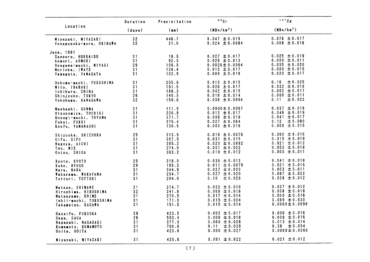|                                                                                                                    | Duration                   | Precipitation                             | 90Sr                                                                                                    | 137Cs                                                                                                   |
|--------------------------------------------------------------------------------------------------------------------|----------------------------|-------------------------------------------|---------------------------------------------------------------------------------------------------------|---------------------------------------------------------------------------------------------------------|
| Location                                                                                                           | (days)                     | (mm)                                      | (MBa/km <sup>2</sup> )                                                                                  | (MBq/km <sup>2</sup> )                                                                                  |
| Miyazaki, MIYAZAKI<br>Yonagusuku-mura, OKINAWA                                                                     | 32<br>32 <sub>2</sub>      | 446.7<br>21.0                             | $0.047 \pm 0.019$<br>$0.024 \pm 0.0084$                                                                 | $0.076 \pm 0.017$<br>$0.008 \pm 0.016$                                                                  |
| June, 1991<br>Sapporo, HOKKAIDO<br>Aomori, AOMORI<br>Onagawa-machi, MIYAGI<br>Morioka, IWATE<br>Yamagata, YAMAGATA | 31<br>31<br>29<br>31<br>31 | 18.5<br>92.5<br>109.5<br>128.4<br>102.9   | $0.027 \pm 0.017$<br>$0.029 \pm 0.013$<br>$0.0020 \pm 0.0094$<br>$0.013 \pm 0.017$<br>$0.009 \pm 0.018$ | $0.025 \pm 0.019$<br>$0.000 \pm 0.011$<br>$0.035 \pm 0.020$<br>$0.000 \pm 0.015$<br>$0.020 \pm 0.017$   |
| Ookuma-machi, FUKUSHIMA<br>Mito, IBARAKI<br>Ichihara, CHIBA<br>Shinjyuku, TOKYO<br>Yokohama, KANAGAWA              | 31<br>31<br>31<br>29<br>32 | 255.8<br>191.5<br>188.3<br>140.5<br>159.6 | $0.013 \pm 0.019$<br>$0.028 \pm 0.017$<br>$0.042 \pm 0.015$<br>$0.016 \pm 0.014$<br>$0.036 \pm 0.0094$  | 0.16<br>± 0.025<br>$0.032 \pm 0.016$<br>$0.002 \pm 0.017$<br>$0.000 \pm 0.011$<br>0.11<br>± 0.022       |
| Maebashi, GUNMA<br>Utsunomiya, TOCHIGI<br>Kosugi-machi, TOYAMA<br>Fukui, FUKUI<br>Koufu, YAMANASHI                 | 31<br>31<br>31<br>31<br>31 | 111.5<br>226.8<br>371.7<br>276.4<br>130.5 | $0.0000 \pm 0.0067$<br>$0.012 \pm 0.017$<br>$0.008 \pm 0.018$<br>$0.027 \pm 0.064$<br>0.000 $\pm$ 0.016 | $0.037 \pm 0.018$<br>$0.046 \pm 0.019$<br>$0.041 \pm 0.017$<br>$0.12 \pm 0.080$<br>$0.000 \pm 0.015$    |
| Shizuoka, SHIZUOKA<br>Gifu, GIFU<br>Nagoya, AICHI<br>Tsu, MIE<br>Ootsu, SHIGA                                      | 29<br>31<br>31<br>31<br>31 | 313.5<br>357.5<br>285.2<br>274.0<br>363.2 | $0.018 \pm 0.0076$<br>$0.031 \pm 0.015$<br>$0.020 \pm 0.0082$<br>$0.001 \pm 0.022$<br>$0.018 \pm 0.012$ | $0.000 \pm 0.016$<br>$0.015 \pm 0.019$<br>$0.021 \pm 0.012$<br>$0.053 \pm 0.018$<br>$0.000 \pm 0.011$   |
| Kyoto, KYOTO<br>Kobe, HYOGO<br>Nara, NARA<br>Wakayama, WAKAYAMA<br>Tottori, TOTTORI                                | 29<br>29<br>31<br>31<br>31 | 218.0<br>185.3<br>344.9<br>254.7<br>204.0 | $0.036 \pm 0.013$<br>$0.011 \pm 0.0079$<br>$0.027 \pm 0.020$<br>$0.027 \pm 0.020$<br>0.10<br>± 0.026    | $0.041 \pm 0.018$<br>$0.021 \pm 0.016$<br>$0.003 \pm 0.011$<br>$0.087 \pm 0.022$<br>$0.028 \pm 0.012$   |
| Matsue, SHIMANE<br>Hiroshima, HIROSHIMA<br>Matsuyama, EHIME<br>Ishii-machi, TOKUSHIMA<br>Takamatsu, KAGAWA         | 31<br>32<br>31<br>31<br>31 | 274.7<br>241.8<br>270.5<br>171.0<br>151.5 | $0.032 \pm 0.010$<br>$0.000 \pm 0.018$<br>$0.017 \pm 0.014$<br>$0.015 \pm 0.024$<br>$0.015 \pm 0.014$   | $0.037 \pm 0.012$<br>$0.008 \pm 0.018$<br>$0.000 \pm 0.016$<br>$0.069 \pm 0.020$<br>$0.0000 \pm 0.0096$ |
| Dazaifu, FUKUOKA<br>Saga, SAGA<br>Nagasaki, NAGASAKI<br>Kumamoto, KUMAMOTO<br>Ooita, OOITA                         | 29<br>26<br>31<br>31<br>31 | 423.5<br>503.4<br>377.0<br>700.6<br>423.6 | $0.002 \pm 0.017$<br>0.000 $\pm$ 0.018<br>$0.060 \pm 0.028$<br>$0.11 \pm 0.029$<br>$0.000 \pm 0.027$    | $0.000 \pm 0.016$<br>$0.008 \pm 0.016$<br>$0.013 \pm 0.014$<br>± 0.034<br>0.38<br>$0.0000 \pm 0.0095$   |
| Miyazaki, MIYAZAKI                                                                                                 | 31                         | 425.6                                     | $0.061 \pm 0.022$                                                                                       | $0.021 \pm 0.012$                                                                                       |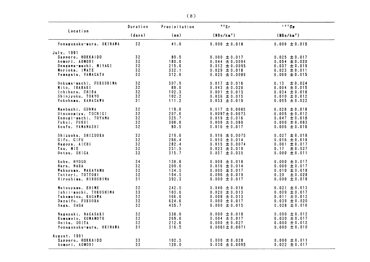|                          | Duration        | Precipitation  | 90Sr                   | 137C5                                  |
|--------------------------|-----------------|----------------|------------------------|----------------------------------------|
| Location                 | (days)          | (mm)           | (MBq/km <sup>2</sup> ) | (MBa/km <sup>2</sup> )                 |
| Yonagusuku-mura, OKINAWA | 32              | 41.0           | $0.000 \pm 0.018$      | $0.000 \pm 0.015$                      |
| July, 1991               |                 |                |                        |                                        |
| Sapporo, HOKKAIDO        | 32              | 89.5           | $0.000 \pm 0.017$      | $0.025 \pm 0.017$                      |
| Aomori, AOMORI           | 32 <sub>2</sub> | 180.0          | $0.044 \pm 0.0094$     | $0.054 \pm 0.020$                      |
| Onagawa-machi, MIYAGI    | 32              | 215.0          | $0.012 \pm 0.0095$     | $0.037 \pm 0.019$                      |
| Morioka, IWATE           | 32              | 332.1          | $0.029 \pm 0.018$      | $0.023 \pm 0.011$                      |
| Yamagata, YAMAGATA       | 32              | 312.8          | $0.025 \pm 0.0089$     | $0.000 \pm 0.015$                      |
| Ookuma-machi, FUKUSHIMA  | 32              | 307.9          | 0.017 $\pm$ 0.016      | $0.13 -$<br>± 0.024                    |
| Mito. IBARAKI            | 32 <sub>2</sub> | 89.0           | $0.043 \pm 0.020$      | 0.004 $\pm$ 0.015                      |
| Ichihara, CHIBA          | 32 <sub>2</sub> | 102.3          | $0.001 \pm 0.013$      | 0.034 $\pm$ 0.018                      |
| Shinjyuku, TOKYO         | 32              | 102.2          | $0.036 \pm 0.015$      | $0.010 \pm 0.012$                      |
| Yokohama, KANAGAWA       | 31              | 111.2          | $0.033 \pm 0.019$      | $0.095 \pm 0.022$                      |
| Maebashi, GUNMA          | 32              | 119.0          | $0.017 \pm 0.0085$     | $0.028 \pm 0.018$                      |
| Utsunomiya, TOCHIGI      | 32              | 207.6          | $0.0097 \pm 0.0073$    | $0.005 \pm 0.012$                      |
| Kosugi-machi, TOYAMA     | 32              | 325.7          | $0.019 \pm 0.016$      | $0.047 \pm 0.018$                      |
| Fukui, FUKUI             | 32              | 308.8          | $0.000 \pm 0.089$      | $0.000 \pm 0.083$                      |
| Koufu, YAMANASHI         | 32              | 80.5           | $0.016 \pm 0.017$      | $0.006 \pm 0.016$                      |
| Shizuoka, SHIZUOKA       | 32              | 219.0          | $0.016 \pm 0.0075$     | $0.027 \pm 0.018$                      |
| Gifu, GIFU               | 32              | 280.4          | $0.010 \pm 0.014$      | $0.016 \pm 0.018$                      |
| Nagoya, AICHI            | 32 <sub>2</sub> | 282.4          | $0.015 \pm 0.0074$     | $0.001 \pm 0.017$                      |
| Tsu, MIE                 | 32              | 231.5          | $0.023 \pm 0.019$      | ± 0.027<br>0.17                        |
| Ootsu, SHIGA             | 32              | 315.7          | $0.037 \pm 0.035$      | $0.000 \pm 0.011$                      |
| Kobe, HYOGO              | 34              | 138.8          | $0.008 \pm 0.018$      | $0.000 \pm 0.017$                      |
| Nara, NARA               | 32              | 209.0          | $0.016 \pm 0.014$      | $0.000 \pm 0.017$                      |
| Wakayama, WAKAYAMA       | 32              | 134.5          | $0.000 \pm 0.017$      | $0.010 \pm 0.018$                      |
| Tottori, TOTTORI         | 32              | 194.5          | $0.096 \pm 0.019$      | $0.20 \pm 0.028$                       |
| Hiroshima, HIROSHIMA     | 31              | 392.3          | $0.000 \pm 0.017$      | $0.000 \pm 0.018$                      |
|                          |                 |                |                        |                                        |
| Matsuyama, EHIME         | 32              | 242.5          | $0.046 \pm 0.016$      | $0.021 \pm 0.013$                      |
| Ishii-machi, TOKUSHIMA   | 33<br>32        | 103.0<br>166.0 | $0.020 \pm 0.013$      | 0.009 $\pm$ 0.017                      |
| Takamatsu, KAGAWA        | 32              |                | $0.008 \pm 0.013$      | $0.011 \pm 0.012$<br>$0.039 \pm 0.020$ |
| Dazaifu. FUKUOKA         |                 | 624.6          | $0.000 \pm 0.017$      |                                        |
| Saga, SAGA               | 32              | 435.7          | $0.000 \pm 0.015$      | $0.028 \pm 0.016$                      |
| Nagasaki, NAGASAKI       | 32              | 338.0          | $0.000 \pm 0.018$      | $0.000 \pm 0.012$                      |
| Kumamoto, KUMAMOTO       | 32              | 269.0          | $0.004 \pm 0.017$      | $0.030 \pm 0.017$                      |
| Ooita, OOITA             | 32              | 212.6          | $0.000 \pm 0.027$      | $0.000 \pm 0.012$                      |
| Yonagusuku-mura, OKINAWA | 31              | 316.5          | $0.0061 \pm 0.0071$    | $0.000 \pm 0.010$                      |
| August. 1991             |                 |                |                        |                                        |
| Sapporo, HOKKAIDO        | 33              | 102.5          | $0.000 \pm 0.028$      | $0.000 \pm 0.011$                      |
| Aomori, AOMORI           | 33              | 120.0          | $0.030 \pm 0.0095$     | $0.022 \pm 0.017$                      |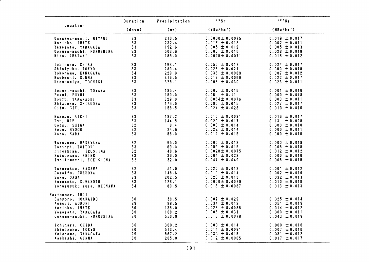|                                                                                                                           | Duration                                | Precipitation                           | 90Sr                                                                                                    | 137Cs                                                                                                 |
|---------------------------------------------------------------------------------------------------------------------------|-----------------------------------------|-----------------------------------------|---------------------------------------------------------------------------------------------------------|-------------------------------------------------------------------------------------------------------|
| Location                                                                                                                  | (days)                                  | (mn)                                    | (MBq/km <sup>2</sup> )                                                                                  | (MBq/km <sup>2</sup> )                                                                                |
| Onagawa-machi, MIYAGI                                                                                                     | 33                                      | 210.5                                   | $0.0000 \pm 0.0075$                                                                                     | $0.019 \pm 0.017$                                                                                     |
| Morioka, IWATE                                                                                                            | 33                                      | 232.4                                   | $0.018 \pm 0.018$                                                                                       | $0.002 \pm 0.011$                                                                                     |
| Yamagata, YAMAGATA                                                                                                        | 33                                      | 192.6                                   | $0.005 \pm 0.012$                                                                                       | $0.005 \pm 0.013$                                                                                     |
| Ookuma-machi, FUKUSHIMA                                                                                                   | 33                                      | 503.6                                   | $0.000 \pm 0.016$                                                                                       | $0.028 \pm 0.018$                                                                                     |
| Mito, IBARAKI                                                                                                             | 33                                      | 185.0                                   | $0.0095 \pm 0.0071$                                                                                     | 0.018 $\pm$ 0.012                                                                                     |
| Ichihara, CHIBA                                                                                                           | 33                                      | 193.1                                   | $0.055 \pm 0.017$                                                                                       | $0.024 \pm 0.017$                                                                                     |
| Shinjyuku, TOKYO                                                                                                          | 33                                      | 289.4                                   | $0.023 \pm 0.021$                                                                                       | $0.000 \pm 0.015$                                                                                     |
| Yokohama, KANAGAWA                                                                                                        | 34                                      | 229.9                                   | $0.036 \pm 0.0089$                                                                                      | $0.007 \pm 0.012$                                                                                     |
| Maebashi, GUNMA                                                                                                           | 33                                      | 316.5                                   | $0.013 \pm 0.0069$                                                                                      | $0.022 \pm 0.017$                                                                                     |
| Utsunomiya, TOCHIGI                                                                                                       | 33                                      | 325.1                                   | $0.008 \pm 0.030$                                                                                       | $0.023 \pm 0.011$                                                                                     |
| Kosugi-machi, TOYAMA                                                                                                      | 33                                      | 185.4                                   | $0.000 \pm 0.016$                                                                                       | $0.001 \pm 0.016$                                                                                     |
| Fukui, FUKUI                                                                                                              | 33                                      | 150.0                                   | $0.06 \pm 0.11$                                                                                         | $0.000 \pm 0.078$                                                                                     |
| Koufu, YAMANASHI                                                                                                          | 33                                      | 329.0                                   | $0.0064 \pm 0.0076$                                                                                     | $0.003 \pm 0.011$                                                                                     |
| Shizuoka, SHIZUOKA                                                                                                        | 33                                      | 176.0                                   | $0.006 \pm 0.015$                                                                                       | $0.027 \pm 0.017$                                                                                     |
| Gifu, GIFU                                                                                                                | 33                                      | 158.5                                   | $0.024 \pm 0.028$                                                                                       | $0.019 \pm 0.016$                                                                                     |
| Nagoya, AICHI<br>Tsu. MIE<br>Ootsu, SHIGA<br>Kobe, HYOGO<br>Nara, NARA                                                    | 33<br>33<br>32<br>32<br>33              | 187.2<br>144.5<br>8.4<br>24.6<br>56.0   | $0.015 \pm 0.0081$<br>$0.020 \pm 0.017$<br>$0.000 \pm 0.014$<br>$0.022 \pm 0.014$<br>$0.012 \pm 0.015$  | $0.016 \pm 0.017$<br>0.13<br>± 0.025<br>$0.000 \pm 0.010$<br>$0.000 \pm 0.011$<br>$0.000 \pm 0.016$   |
| Wakayama, WAKAYAMA                                                                                                        | 32                                      | 95.0                                    | $0.000 \pm 0.018$                                                                                       | $0.000 \pm 0.018$                                                                                     |
| Tottori, TOTTORI                                                                                                          | 33 <sup>3</sup>                         | 69.0                                    | $0.059 \pm 0.015$                                                                                       | $0.006 \pm 0.015$                                                                                     |
| Hiroshima, HIROSHIMA                                                                                                      | 32                                      | 48.6                                    | $0.0028 \pm 0.0075$                                                                                     | $0.012 \pm 0.012$                                                                                     |
| Matsuyama, EHIME                                                                                                          | 33                                      | 39.0                                    | $0.004 \pm 0.028$                                                                                       | $0.000 \pm 0.016$                                                                                     |
| Ishii-machi, TOKUSHIMA                                                                                                    | 32                                      | 52.0                                    | 0.047 $\pm$ 0.049                                                                                       | $0.006 \pm 0.016$                                                                                     |
| Takamatsu, KAGAWA                                                                                                         | 32                                      | 51.0                                    | $0.020 \pm 0.013$                                                                                       | $0.001 \pm 0.012$                                                                                     |
| Dazaifu, FUKUOKA                                                                                                          | 33                                      | 148.6                                   | $0.019 \pm 0.014$                                                                                       | $0.002 \pm 0.010$                                                                                     |
| Saga, SAGA                                                                                                                | 33                                      | 202.5                                   | $0.026 \pm 0.015$                                                                                       | $0.032 \pm 0.013$                                                                                     |
| Kumamoto, KUMAMOTO                                                                                                        | 33                                      | 128.1                                   | $0.0000 \pm 0.0079$                                                                                     | $0.010 \pm 0.016$                                                                                     |
| Yonagusuku-mura, OKINAWA                                                                                                  | 34                                      | 89.5                                    | $0.018 \pm 0.0087$                                                                                      | $0.013 \pm 0.013$                                                                                     |
| September, 1991<br>Sapporo, HOKKAIDO<br>Aomori, AOMORI<br>Morioka, IWATE<br>Yamagata, YAMAGATA<br>Ookuma-machi, FUKUSHIMA | 30<br>29<br>30<br>30 <sub>o</sub><br>30 | 58.5<br>89.5<br>136.0<br>108.2<br>550.0 | $0.007 \pm 0.029$<br>$0.034 \pm 0.012$<br>$0.023 \pm 0.0086$<br>$0.008 \pm 0.031$<br>$0.013 \pm 0.0079$ | $0.025 \pm 0.014$<br>$0.051 \pm 0.019$<br>$0.014 \pm 0.012$<br>$0.000 \pm 0.011$<br>$0.043 \pm 0.019$ |
| Ichihara, CHIBA                                                                                                           | 30                                      | 360.2                                   | $0.000 \pm 0.014$                                                                                       | $0.000 \pm 0.016$                                                                                     |
| Shinjyuku, TOKYO                                                                                                          | 30                                      | 513.4                                   | $0.014 \pm 0.0091$                                                                                      | $0.007 \pm 0.016$                                                                                     |
| Yokohama, KANAGAWA                                                                                                        | 29                                      | 567.2                                   | $0.039 \pm 0.015$                                                                                       | $0.031 \pm 0.012$                                                                                     |
| Maebashi, GUNMA                                                                                                           | 30                                      | 205.0                                   | $0.012 \pm 0.0065$                                                                                      | $0.017 \pm 0.017$                                                                                     |

 $\mathcal{L}$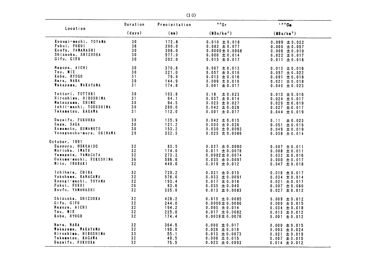| Location                                                                                                               | Duration                   | Precipitation                            | 90Sr                                                                                                       | $137C$ s                                                                                              |
|------------------------------------------------------------------------------------------------------------------------|----------------------------|------------------------------------------|------------------------------------------------------------------------------------------------------------|-------------------------------------------------------------------------------------------------------|
|                                                                                                                        | (days)                     | (mn)                                     | (MBq/km <sup>2</sup> )                                                                                     | (MBq/km <sup>2</sup> )                                                                                |
| Kosugi-machi, TOYAMA                                                                                                   | 30                         | 172.8                                    | $0.010 \pm 0.018$                                                                                          | $0.099 \pm 0.022$                                                                                     |
| Fukui, FUKUI                                                                                                           | 36                         | 200.0                                    | $0.082 \pm 0.077$                                                                                          | $0.000 \pm 0.057$                                                                                     |
| Koufu, YAMANASHI                                                                                                       | 30                         | 306.0                                    | $0.0000 \pm 0.0068$                                                                                        | $0.006 \pm 0.010$                                                                                     |
| Shizuoka, SHIZUOKA                                                                                                     | 30                         | 577.0                                    | $0.000 \pm 0.014$                                                                                          | 0.022 $\pm$ 0.017                                                                                     |
| Gifu, GIFU                                                                                                             | 30                         | 202.0                                    | $0.013 \pm 0.017$                                                                                          | $0.011 \pm 0.016$                                                                                     |
| Nagoya, AICHI                                                                                                          | 30                         | 370.8                                    | $0.007 \pm 0.013$                                                                                          | $0.013 \pm 0.016$                                                                                     |
| Tsu, MIE                                                                                                               | 30                         | 321.0                                    | $0.057 \pm 0.016$                                                                                          | $0.057 \pm 0.022$                                                                                     |
| Kobe, HYOGO                                                                                                            | 31                         | 79.9                                     | $0.013 \pm 0.016$                                                                                          | $0.001 \pm 0.018$                                                                                     |
| Nara, NARA                                                                                                             | 30                         | 144.9                                    | $0.009 \pm 0.016$                                                                                          | $0.021 \pm 0.018$                                                                                     |
| Wakayama, WAKAYAMA                                                                                                     | 31                         | 174.8                                    | $0.001 \pm 0.017$                                                                                          | $0.040 \pm 0.023$                                                                                     |
| Tottori, TOTTORI<br>Hiroshima, HIROSHIMA<br>Matsuyama, EHIME<br>Ishii-machi, TOKUSHIMA<br>Takamatsu, KAGAWA            | 30<br>31<br>30<br>30<br>31 | 103.8<br>64.1<br>94.5<br>280.0<br>112.0  | 0.18<br>± 0.023<br>$0.037 \pm 0.014$<br>$0.023 \pm 0.027$<br>$0.042 \pm 0.028$<br>$0.001 \pm 0.017$        | $0.013 \pm 0.016$<br>$0.024 \pm 0.017$<br>$0.029 \pm 0.019$<br>$0.027 \pm 0.017$<br>$0.044 \pm 0.019$ |
| Dazaifu, FUKUOKA<br>Saga, SAGA<br>Kumamoto, KUMAMOTO<br>Yonagusuku-mura, OKINAWA                                       | 30<br>30<br>30<br>29       | 135.9<br>121.2<br>153.2<br>332.5         | $0.042 \pm 0.015$<br>0.000 $\pm$ 0.026<br>0.030 $\pm$ 0.0093<br>$0.025 \pm 0.0086$                         | 0.11<br>± 0.023<br>$0.051 \pm 0.015$<br>$0.049 \pm 0.019$<br>$0.038 \pm 0.014$                        |
| October, 1991<br>Sapporo, HOKKAIDO<br>Morioka, IWATE<br>Yamagata, YAMAGATA<br>Ookuma-machi, FUKUSHIMA<br>Mito, IBARAKI | 32<br>32<br>32<br>36<br>32 | 83.5<br>174.0<br>273.2<br>586.6<br>440.0 | $0.027 \pm 0.0090$<br>$0.011 \pm 0.0078$<br>$0.0082 \pm 0.0074$<br>$0.035 \pm 0.0097$<br>$0.019 \pm 0.012$ | $0.007 \pm 0.011$<br>$0.008 \pm 0.011$<br>$0.032 \pm 0.016$<br>$0.000 \pm 0.017$<br>$0.047 \pm 0.018$ |
| Ichihara, CHIBA                                                                                                        | 32                         | 729.2                                    | $0.021 \pm 0.015$                                                                                          | 0.016 $\pm$ 0.017                                                                                     |
| Yokohama, KANAGAWA                                                                                                     | 32                         | 576.0                                    | $0.033 \pm 0.0091$                                                                                         | 0.034 $\pm$ 0.014                                                                                     |
| Kosugi-machi, TOYAMA                                                                                                   | 32                         | 193.4                                    | $0.017 \pm 0.018$                                                                                          | $0.021 \pm 0.017$                                                                                     |
| Fukui, FUKUI                                                                                                           | 26                         | 83.6                                     | $0.035 \pm 0.040$                                                                                          | $0.007 \pm 0.060$                                                                                     |
| Koufu, YAMANASHI                                                                                                       | 32                         | 335.0                                    | $0.013 \pm 0.0083$                                                                                         | $0.027 \pm 0.012$                                                                                     |
| Shizuoka, SHIZUOKA                                                                                                     | 32                         | 428.2                                    | $0.015 \pm 0.0085$                                                                                         | 0.009 $\pm$ 0.012                                                                                     |
| Gifu, GIFU                                                                                                             | 32                         | 244.0                                    | $0.0000 \pm 0.0090$                                                                                        | $0.000 \pm 0.015$                                                                                     |
| Nagoya, AICHI                                                                                                          | 32 <sub>2</sub>            | 194.2                                    | $0.005 \pm 0.014$                                                                                          | $0.034 \pm 0.018$                                                                                     |
| Tsu, MIE                                                                                                               | 32                         | 225.0                                    | $0.017 \pm 0.0082$                                                                                         | $0.013 \pm 0.012$                                                                                     |
| Kobe, HYOGO                                                                                                            | 32                         | 174.4                                    | 0.0039 $\pm$ 0.0076                                                                                        | $0.001 \pm 0.012$                                                                                     |
| Nara, NARA                                                                                                             | 32                         | 364.5                                    | $0.000 \pm 0.017$                                                                                          | $0.000 \pm 0.015$                                                                                     |
| Wakayama, WAKAYAMA                                                                                                     | 32                         | 196.0                                    | $0.026 \pm 0.018$                                                                                          | $0.093 \pm 0.024$                                                                                     |
| Hiroshima, HIROSHIMA                                                                                                   | 33                         | 55.1                                     | 0.013 $\pm$ 0.0073                                                                                         | $0.021 \pm 0.019$                                                                                     |
| Takamatsu, KAGAWA                                                                                                      | 32                         | 49.5                                     | $0.000 \pm 0.015$                                                                                          | $0.007 \pm 0.015$                                                                                     |
| Dazaifu, FUKUOKA                                                                                                       | 32                         | 75.5                                     | $0.023 \pm 0.0093$                                                                                         | $0.014 \pm 0.012$                                                                                     |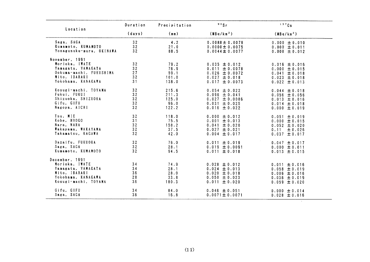| Location                                                                                                                 | Duration                   | Precipitation                            | 90Sr                                                                                                     | 137Cs                                                                                                 |
|--------------------------------------------------------------------------------------------------------------------------|----------------------------|------------------------------------------|----------------------------------------------------------------------------------------------------------|-------------------------------------------------------------------------------------------------------|
|                                                                                                                          | (days)                     | (mn)                                     | (MBq/km <sup>2</sup> )                                                                                   | (MBq/km <sup>2</sup> )                                                                                |
| Saga, SAGA<br>Kumamoto, KUMAMOTO<br>Yonagusuku-mura, OKINAWA                                                             | 32<br>32<br>32             | 4.2<br>21.0<br>88.5                      | $0.0088 \pm 0.0079$<br>$0.0000 \pm 0.0075$<br>$0.0044 \pm 0.0077$                                        | $0.000 \pm 0.010$<br>$0.000 \pm 0.011$<br>$0.000 \pm 0.012$                                           |
| November, 1991<br>Morioka, IWATE<br>Yamagata, YAMAGATA<br>Ookuma-machi, FUKUSHIMA<br>Mito, IBARAKI<br>Yokohama, KANAGAWA | 32<br>32<br>27<br>32<br>31 | 79.2<br>76.9<br>59.1<br>101.0<br>138.0   | $0.035 \pm 0.012$<br>$0.011 \pm 0.0078$<br>$0.026 \pm 0.0072$<br>$0.027 \pm 0.018$<br>$0.017 \pm 0.0073$ | $0.016 \pm 0.016$<br>$0.000 \pm 0.015$<br>$0.041 \pm 0.018$<br>$0.023 \pm 0.018$<br>0.022 $\pm$ 0.013 |
| Kosugi-machi, TOYAMA<br>Fukui, FUKUI<br>Shizuoka, SHIZUOKA<br>Gifu, GIFU<br>Nagoya, AICHI                                | 32<br>32<br>32<br>32<br>32 | 215.6<br>211.3<br>125.0<br>96.0<br>122.2 | $0.054 \pm 0.022$<br>0.096 $\pm$ 0.041<br>$0.027 \pm 0.0086$<br>$0.031 \pm 0.025$<br>$0.016 \pm 0.022$   | 0.044 $\pm$ 0.018<br>$0.056 \pm 0.056$<br>$0.013 \pm 0.016$<br>$0.014 \pm 0.018$<br>$0.000 \pm 0.019$ |
| Tsu, MIE<br>Kobe, HYOGO<br>Nara, NARA<br>Wakayama, WAKAYAMA<br>Takamatsu, KAGAWA                                         | 32<br>31<br>32<br>32<br>32 | 118.0<br>75.5<br>158.2<br>37.5<br>42.0   | $0.000 \pm 0.012$<br>$0.001 \pm 0.013$<br>$0.041 \pm 0.020$<br>$0.027 \pm 0.021$<br>$0.004 \pm 0.017$    | $0.051 \pm 0.019$<br>$0.000 \pm 0.015$<br>$0.052 \pm 0.020$<br>0.11<br>± 0.026<br>$0.037 \pm 0.017$   |
| Dazaifu, FUKUOKA<br>Saga, SAGA<br>Kumamoto, KUMAMOTO                                                                     | 32<br>32<br>32             | 76.0<br>28.1<br>94.5                     | $0.011 \pm 0.019$<br>$0.019 \pm 0.0091$<br>$0.011 \pm 0.018$                                             | 0.047 $\pm$ 0.017<br>$0.000 \pm 0.011$<br>$0.013 \pm 0.015$                                           |
| December, 1991<br>Morioka, IWATE<br>Yamagata, YAMAGATA<br>Mito, IBARAKI<br>Yokohama, KANAGAWA<br>Kosugi-machi, TOYAMA    | 34<br>34<br>36<br>28<br>36 | 74.9<br>28.1<br>28.0<br>33.8<br>180.3    | 0.028 $\pm$ 0.012<br>$0.024 \pm 0.013$<br>$0.020 \pm 0.018$<br>0.050 $\pm$ 0.023<br>$0.011 \pm 0.020$    | $0.011 \pm 0.016$<br>$0.058 \pm 0.019$<br>$0.006 \pm 0.016$<br>$0.036 \pm 0.019$<br>$0.059 \pm 0.020$ |
| Gifu, GIFU<br>Saga, SAGA                                                                                                 | 34<br>36                   | 84.0<br>16.8                             | 0.046 $\pm$ 0.051<br>$0.0071 \pm 0.0071$                                                                 | $0.000 \pm 0.014$<br>$0.028 \pm 0.016$                                                                |

 $\sim$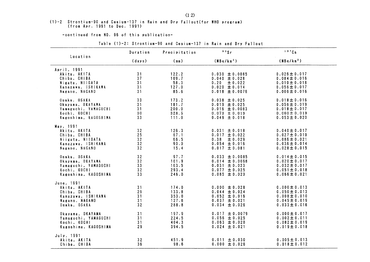### (1)-2 Strontium-90 and Cesium-137 in Rain and Dry Fallout (for WHO program) (from Apr. 1991 to Dec. 1991)

-continued from NO. 96 of this publication-

|                                                                                                        | Duration                   | Precipitation                             | 90Sr                                                                                                    | 137Cs                                                                                                 |
|--------------------------------------------------------------------------------------------------------|----------------------------|-------------------------------------------|---------------------------------------------------------------------------------------------------------|-------------------------------------------------------------------------------------------------------|
| Location                                                                                               | (days)                     | (m <sub>m</sub> )                         | (MBa/km <sup>2</sup> )                                                                                  | (MBa/km <sup>2</sup> )                                                                                |
| April, 1991<br>Akita, AKITA<br>Chiba, CHIBA<br>Nigata, NIIGATA<br>Kanazawa, ISHIKAWA<br>Nagano, NAGANO | 31<br>37<br>31<br>31<br>31 | 122.2<br>109.7<br>58.3<br>127.0<br>85.6   | $0.030 \pm 0.0085$<br>$0.040 \pm 0.028$<br>± 0.022<br>0.20<br>$0.020 \pm 0.014$<br>$0.018 \pm 0.0076$   | $0.026 \pm 0.017$<br>$0.084 \pm 0.016$<br>$0.010 \pm 0.018$<br>$0.056 \pm 0.017$<br>$0.006 \pm 0.016$ |
| Osaka, OSAKA<br>Okayama, OKAYAMA<br>Yamaguchi, YAMAGUCHI<br>Kochi, KOCHI<br>Kagoshima, KAGOSHIMA       | 33<br>31<br>31<br>30<br>33 | 173.2<br>181.7<br>200.0<br>328.5<br>111.0 | $0.038 \pm 0.025$<br>$0.019 \pm 0.025$<br>$0.016 \pm 0.0083$<br>$0.073 \pm 0.019$<br>$0.049 \pm 0.018$  | $0.018 \pm 0.016$<br>$0.056 \pm 0.019$<br>$0.018 \pm 0.017$<br>$0.060 \pm 0.019$<br>$0.053 \pm 0.020$ |
| May, 1991<br>Akita, AKITA<br>Chiba, CHIBA<br>Niigata, NIIGATA<br>Kanazawa, ISHIKAWA<br>Nagano, NAGANO  | 32<br>25<br>32<br>32<br>32 | 126.3<br>67.1<br>66.5<br>90.0<br>15.4     | $0.031 \pm 0.018$<br>$0.017 \pm 0.022$<br>± 0.029<br>0.38<br>$0.054 \pm 0.016$<br>$0.017 \pm 0.081$     | $0.040 \pm 0.017$<br>$0.027 \pm 0.010$<br>$0.086 \pm 0.021$<br>$0.036 \pm 0.014$<br>$0.028 \pm 0.015$ |
| Osaka, OSAKA<br>Okayama, OKAYAMA<br>Yamaguchi, YAMAGUCHI<br>Kochi, KOCHI<br>Kagoshima, KAGOSHIMA       | 32<br>32<br>33<br>32<br>33 | 97.7<br>101.9<br>163.5<br>293.4<br>246.0  | $0.033 \pm 0.0085$<br>$0.014 \pm 0.0068$<br>$0.031 \pm 0.023$<br>$0.077 \pm 0.025$<br>$0.085 \pm 0.020$ | $0.014 \pm 0.015$<br>$0.020 \pm 0.017$<br>$0.032 \pm 0.017$<br>$0.051 \pm 0.018$<br>$0.066 \pm 0.021$ |
| June, 1991<br>Akita, AKITA<br>Chiba, CHIBA<br>Kanazawa, ISHIKAWA<br>Nagano, NAGANO<br>Osaka, OSAKA     | 31<br>29<br>31<br>31<br>32 | 174.0<br>133.8<br>353.0<br>127.6<br>288.8 | $0.000 \pm 0.028$<br>$0.044 \pm 0.024$<br>$0.052 \pm 0.016$<br>$0.037 \pm 0.021$<br>$0.034 \pm 0.026$   | $0.000 \pm 0.013$<br>$0.050 \pm 0.013$<br>$0.008 \pm 0.010$<br>$0.045 \pm 0.019$<br>$0.033 \pm 0.016$ |
| Okayama, OKAYAMA<br>Yamaguchi, YAMAGUCHI<br>Kochi, KOCHI<br>Kagoshima, KAGOSHIMA                       | 31<br>31<br>31<br>29       | 197.9<br>224.5<br>404.3<br>394.5          | $0.017 \pm 0.0079$<br>$0.056 \pm 0.025$<br>$0.063 \pm 0.020$<br>$0.024 \pm 0.021$                       | $0.000 \pm 0.017$<br>$0.002 \pm 0.011$<br>$0.082 \pm 0.019$<br>$0.019 \pm 0.018$                      |
| July, 1991<br>Akita, AKITA<br>Chiba, CHIBA                                                             | 32<br>36                   | 451.9<br>98.6                             | $0.011 \pm 0.030$<br>$0.000 \pm 0.026$                                                                  | $0.005 \pm 0.013$<br>$0.018 \pm 0.012$                                                                |

Table (1)-2: Strontium-90 and Cesium-137 in Rain and Dry Fallout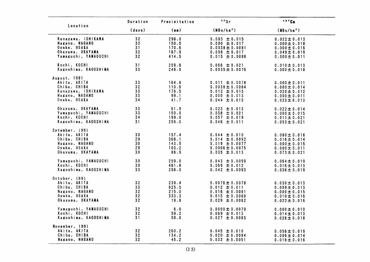| Location                                                                                             | Duration                                | Precipitation                             | 90Sr                                                                                                       | 137Cs                                                                                                 |
|------------------------------------------------------------------------------------------------------|-----------------------------------------|-------------------------------------------|------------------------------------------------------------------------------------------------------------|-------------------------------------------------------------------------------------------------------|
|                                                                                                      | (days)                                  | (mm)                                      | (MBq/km <sup>2</sup> )                                                                                     | (MBq/km <sup>2</sup> )                                                                                |
| Kanazawa, ISHIKAWA<br>Nagano, NAGANO<br>Osaka, OSAKA<br>Okayama, OKAYAMA<br>Yamaguchi, YAMAGUCHI     | 32<br>32<br>31<br>32<br>32              | 296.0<br>150.5<br>170.6<br>167.9<br>414.5 | $0.003 \pm 0.015$<br>0.000 $\pm$ 0.017<br>$0.0038 \pm 0.0081$<br>$0.008 \pm 0.017$<br>$0.015 \pm 0.0088$   | $0.022 \pm 0.013$<br>$0.000 \pm 0.018$<br>$0.000 \pm 0.016$<br>$0.049 \pm 0.019$<br>$0.000 \pm 0.011$ |
| Kochi, KOCHI<br>Kagoshima, KAGOSHIMA                                                                 | 31<br>33                                | 259.6<br>248.0                            | $0.066 \pm 0.021$<br>$0.0035 \pm 0.0076$                                                                   | 0.010 $\pm$ 0.013<br>$0.000 \pm 0.018$                                                                |
| August, 1991<br>Akita, AKITA<br>Chiba, CHIBA<br>Kanazawa, ISHIKAWA<br>Nagano, NAGANO<br>Osaka, OSAKA | 33<br>32<br>33<br>33<br>34              | 164.8<br>110.6<br>176.5<br>99.1<br>41.7   | $0.011 \pm 0.0078$<br>$0.0038 \pm 0.0084$<br>$0.012 \pm 0.015$<br>$0.000 \pm 0.013$<br>$0.044 \pm 0.015$   | $0.000 \pm 0.011$<br>$0.000 \pm 0.014$<br>$0.020 \pm 0.012$<br>$0.000 \pm 0.011$<br>$0.023 \pm 0.013$ |
| Okayama, OKAYAMA<br>Yamaguchi, YAMAGUCH!<br>Kochi, KOCHI<br>Kagoshima, KAGOSHIMA                     | 33<br>33<br>34<br>31                    | 61.9<br>150.0<br>199.0<br>256.0           | $0.023 \pm 0.013$<br>$0.058 \pm 0.021$<br>$0.057 \pm 0.019$<br>$0.046 \pm 0.011$                           | $0.022 \pm 0.014$<br>$0.000 \pm 0.015$<br>$0.011 \pm 0.021$<br>$0.053 \pm 0.021$                      |
| Sptember, 1991<br>Akita, AKITA<br>Chiba, CHIBA<br>Nagano, NAGANO<br>Osaka, OSAKA<br>Okayama, OKAYAMA | 30<br>29<br>30<br>29<br>30              | 157.4<br>368.1<br>143.5<br>103.2<br>86.9  | $0.044 \pm 0.010$<br>$0.014 \pm 0.0092$<br>$0.019 \pm 0.0077$<br>$0.0006 \pm 0.0075$<br>$0.035 \pm 0.013$  | $0.080 \pm 0.018$<br>$0.016 \pm 0.014$<br>$0.000 \pm 0.015$<br>$0.000 \pm 0.011$<br>$0.073 \pm 0.021$ |
| Yamaguchi, YAMAGUCHI<br>Kochi, KOCHI<br>Kagoshima, KAGOSHIMA                                         | 30<br>30<br>33                          | 259.0<br>461.8<br>256.0                   | $0.043 \pm 0.0099$<br>$0.069 \pm 0.012$<br>$0.042 \pm 0.0093$                                              | $0.064 \pm 0.019$<br>$0.016 \pm 0.013$<br>$0.036 \pm 0.019$                                           |
| October, 1991<br>Akita, AKITA<br>Chiba, CHIBA<br>Nagano, NAGANO<br>Osaka, OSAKA<br>Okayama, OKAYAMA  | 32<br>33<br>32<br>32<br>32 <sub>2</sub> | 239.4<br>625.5<br>215.0<br>333.3<br>19.8  | $0.0076 \pm 0.0078$<br>$0.012 \pm 0.011$<br>$0.016 \pm 0.0081$<br>$0.015 \pm 0.0080$<br>0.029 $\pm$ 0.0082 | $0.030 \pm 0.013$<br>$0.009 \pm 0.013$<br>$0.000 \pm 0.015$<br>$0.010 \pm 0.016$<br>$0.022 \pm 0.016$ |
| Yamaguchi, YAMAGUCHI<br>Kochi, KOCHI<br>Kagoshima, KAGOSHIMA                                         | 32<br>32<br>31                          | 6.0<br>59.2<br>50.0                       | $0.0000 \pm 0.0079$<br>$0.069 \pm 0.013$<br>$0.027 \pm 0.0083$                                             | $0.000 \pm 0.010$<br>$0.014 \pm 0.013$<br>$0.026 \pm 0.018$                                           |
| November, 1991<br>Akita, AKITA<br>Chiba, CHIBA<br>Nagano, NAGANO                                     | 32<br>32<br>32                          | 260.2<br>134.2<br>45.2                    | $0.045 \pm 0.010$<br>$0.020 \pm 0.0094$<br>$0.032 \pm 0.0091$                                              | 0.056 $\pm$ 0.019<br>$0.006 \pm 0.014$<br>$0.016 \pm 0.016$                                           |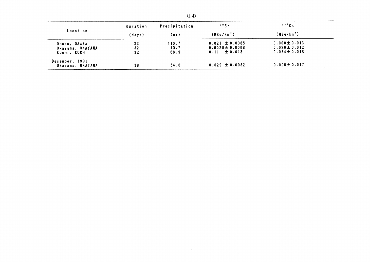|                                    | Duration | Precipitation | 90Sr                                    | $137$ $\text{Cs}$                      |
|------------------------------------|----------|---------------|-----------------------------------------|----------------------------------------|
| Location                           | (days)   | (mm)          | (MBq/km <sup>2</sup> )                  | (MBq/km <sup>2</sup> )                 |
| Osaka, OSAKA                       | 33       | 110.7         | $0.021 \pm 0.0085$                      | $0.000 \pm 0.013$                      |
| Okayama, OKAYAMA<br>Kochi, KOCHI   | 32<br>32 | 49.7<br>88.9  | $0.0039 \pm 0.0068$<br>$0.11 \pm 0.013$ | $0.020 \pm 0.012$<br>$0.034 \pm 0.018$ |
| December, 1991<br>Okayama, OKAYAMA | 38       | 54.0          | $0.029 \pm 0.0082$                      | $0.006 \pm 0.017$                      |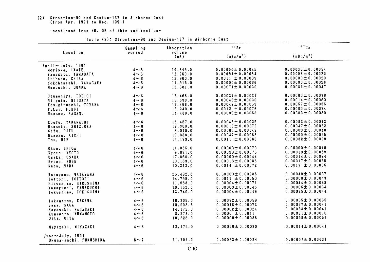# (2) Strontium-90 and Cesium-137 in Airborne Dust<br>(from Apr. 1991 to Dec. 1991)

### -continued from NO. 96 of this publication-

|                         | Sampling   | Absorption     | $90$ Sr               | 137Cs                 |
|-------------------------|------------|----------------|-----------------------|-----------------------|
| Location                | period     | volume<br>(m3) | (mBq/m <sup>3</sup> ) | (mBq/m <sup>3</sup> ) |
| $April \sim July. 1991$ |            |                |                       |                       |
| Morioka, IWATE          | $4 \sim 6$ | 10, 845.0      | $0.00000 \pm 0.00085$ | $0.00036 \pm 0.00054$ |
| Yamagata, YAMAGATA      | $4 \sim 6$ | 12,960.0       | 0.00054 $\pm$ 0.00064 | $0.00003 \pm 0.00029$ |
| Itihara, CHIBA          | $4 \sim 6$ | 12,960.0       | $0.0011 \pm 0.00069$  | $0.00000 \pm 0.00029$ |
| Yokohamashi, KANAGAWA   | $4 \sim 6$ | 11,915.0       | $0.00000 \pm 0.00066$ | 0.00000 $\pm$ 0.00028 |
| Maebashi, GUNMA         | $4 \sim 6$ | 13,381.0       | $0.00071 \pm 0.00030$ | $0.00081 \pm 0.00047$ |
| Utumoniya, TOTIGI       | $4 \sim 6$ | 15,468.0       | $0.00037 \pm 0.00021$ | $0.00000 \pm 0.00036$ |
| Niigata, NIIGATA        | $4 \sim 6$ | 12,839.0       | $0.00043 \pm 0.00030$ | $0.00014 \pm 0.00050$ |
| Kosugi-machi, TOYAMA    | $4 \sim 6$ | 18,468.0       | $0.00047 \pm 0.00053$ | 0.00057 $\pm$ 0.00035 |
| Fukui. FUKUI            | $4 \sim 6$ | 12,240.0       | $0.0012 \pm 0.00076$  | 0.00000 $\pm$ 0.00034 |
| Nagano, NAGANO          | $4 \sim 6$ | 14,486.0       | 0.00000 $\pm$ 0.00058 | $0.00000 \pm 0.00030$ |
| Koufu, YAMANASHI        | $4 \sim 6$ | 15,457.0       | $0.00045 \pm 0.00025$ | $0.00082 \pm 0.00043$ |
| Hamaoka, SHIZUOKA       | $4 \sim 6$ | 12, 300.0      | $0.00013 \pm 0.00072$ | 0.00047 $\pm$ 0.00032 |
| Gifu, GIFU              | $4 \sim 6$ | 9,040.0        | $0.00060 \pm 0.00049$ | $0.00009 \pm 0.00040$ |
| Nagoya, AICHI           | $4 \sim 6$ | 10,388.0       | 0.00047 $\pm$ 0.00088 | 0.00000 $\pm$ 0.00055 |
| Tsu, MIE                | $4 \sim 6$ | 14,179.0       | $0.0011 \pm 0.00063$  | $0.00032 \pm 0.00029$ |
| Otsu, SHIGA             | $4 \sim 6$ | 11,055.0       | $0.00000 \pm 0.00079$ | 0.00000 $\pm$ 0.00049 |
| Kyoto, KYOTO            | $4 \sim 6$ | 9,031.0        | 0.00096 $\pm$ 0.00075 | $0.00019 \pm 0.00059$ |
| Osaka, OSAKA            | $4 \sim 6$ | 17,060.0       | 0.00000 $\pm$ 0.00044 | 0.00014 $\pm$ 0.00024 |
| Hyogo, KOBE             | $4 \sim 6$ | 10, 183.0      | $0.00016 \pm 0.00088$ | 0.00017 $\pm$ 0.00055 |
| Nara, NARA              | $4 \sim 6$ | 10, 213.0      | $0.0014 \pm 0.00072$  | 0.0017 $\pm$ 0.00065  |
| Wakayama, WAKAYAMA      | $4 \sim 6$ | 25,492.8       | $0.00000 \pm 0.00035$ | $0.00049 \pm 0.00027$ |
| Tottori, TOTTORI        | $4 \sim 6$ | 14,795.0       | $0.0011 \pm 0.00050$  | 0.00000 $\pm$ 0.00043 |
| Hiroshima, HIROSHIMA    | $4 \sim 6$ | 11,988.0       | $0.00004 \pm 0.00071$ | 0.00044 $\pm$ 0.00039 |
| Yamaguchi, YAMAGUCHI    | $4 \sim 6$ | 19,152.0       | $0.00000 \pm 0.00045$ | $0.00065 \pm 0.00034$ |
| Tokushima, TOKUSHIMA    | $4 \sim 6$ | 13,740.0       | $0.00004 \pm 0.00049$ | $0.00085 \pm 0.00044$ |
| Takamatsu, KAGAWA       | $4 \sim 6$ | 16.305.0       | $0.00032 \pm 0.00059$ | $0.00005 \pm 0.00035$ |
| Saga, SAGA              | $4 \sim 6$ | 10,903.5       | $0.00018 \pm 0.00073$ | $0.00067 \pm 0.00041$ |
| Nagasaki, NAGASAKI      | $4 \sim 6$ | 14, 172.0      | $0.00002 \pm 0.00024$ | $0.00033 \pm 0.00041$ |
| Kumamoto, KUMAMOTO      | $4 \sim 6$ | 8,378.0        | $0.0006 \pm 0.0011$   | $0.00031 \pm 0.00070$ |
| Oita, OITA              | $4 \sim 6$ | 10,223.0       | $0.00000 \pm 0.00088$ | $0.00058 \pm 0.00058$ |
| Miyazaki, MIYAZAKI      | $4 \sim 6$ | 13,475.0       | $0.00056 \pm 0.00030$ | $0.00014 \pm 0.00041$ |
| June $\sim$ July, 1991  |            |                |                       |                       |
| Okuma-machi, FUKUSHIMA  | $6 \sim 7$ | 11,704.0       | $0.00063 \pm 0.00034$ | 0.00007 $\pm$ 0.00031 |

### Table (2): Strontium-90 and Cesium-137 in Airborne Dust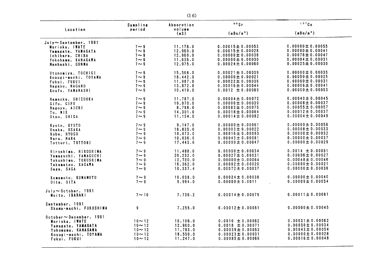| Location                         | Sampling<br>period | Absorption<br>volume | 90Sr                  | $137$ Cs              |
|----------------------------------|--------------------|----------------------|-----------------------|-----------------------|
|                                  |                    | (m3)                 | (mBq/m <sup>3</sup> ) | (mBq/m <sup>3</sup> ) |
| $July \sim September$ , 1991     |                    |                      |                       |                       |
| Morioka, IWATE                   | $7 \sim 9$         | 11, 176.0            | $0.00015 \pm 0.00053$ | 0.00000 $\pm$ 0.00055 |
|                                  | $7 \sim 9$         | 12,960.0             | 0.00015 $\pm$ 0.00028 | $0.00000 \pm 0.00041$ |
| Yamagata, YAMAGATA               |                    | 12,960.0             | $0.00000 \pm 0.00038$ | $0.00076 \pm 0.00047$ |
| Ichihara, CHIBA                  | $7 \sim 9$         |                      |                       |                       |
| Yokohama, KANAGAWA               | $7 \sim 9$         | 11,636.0             | $0.00000 \pm 0.00030$ | 0.00004 $\pm$ 0.00031 |
| Maebashi, GUNMA                  | $7 \sim 9$         | 12,975.0             | 0.00024 $\pm$ 0.00060 | $0.00025 \pm 0.00030$ |
| Utunomiya, TOCHIGI               | $7 \sim 9$         | 15,568.0             | $0.00021 \pm 0.00039$ | 0.00000 $\pm$ 0.00035 |
| Kosugi-machi, TOYAMA             | $7 \sim 9$         | 18,442.0             | 0.00000 $\pm$ 0.00021 | 0.00050 $\pm$ 0.00025 |
| Fukui, FUKUI                     | $7 \sim 9$         | 11,987.0             | $0.00022 \pm 0.00036$ | $0.00000 \pm 0.00031$ |
|                                  | $7 \sim 9$         | 13,872.0             | $0.00016 \pm 0.00044$ | $0.00006 \pm 0.00041$ |
| Nagano, NAGANO                   |                    |                      |                       | 0.00000 $\pm$ 0.00053 |
| Koufu, YAMANASHI                 | $7 \sim 9$         | 10.410.0             | $0.0012 \pm 0.00069$  |                       |
| Hamaoka, SHIZUOKA                | $7 \sim 9$         | 11,787.0             | $0.00004 \pm 0.00072$ | $0.00040 \pm 0.00045$ |
| Gifu, GIFU                       | $7 \sim 9$         | 10,070.0             | 0.00000 $\pm$ 0.00039 | $0.00008 \pm 0.00037$ |
| Nagoya, AICHI                    | $7 \sim 9$         | 8,788.0              | $0.00083 \pm 0.00075$ | $0.00055 \pm 0.00057$ |
| Tu. MIE                          | $7 \sim 9$         | 14, 301.0            | $0.00018 \pm 0.00064$ | 0.00012 $\pm$ 0.00037 |
| Otsu, SHIGA                      | $7 \sim 9$         | 11,154.0             | 0.00014 $\pm$ 0.00082 | $0.00004 \pm 0.00049$ |
|                                  |                    |                      |                       |                       |
| Kyoto, KYOTO                     | $7 \sim 9$         | 9, 147.0             | $0.00000 \pm 0.00061$ | $0.00000 \pm 0.00056$ |
| Osaka, OSAKA                     | $7 \sim 9$         | 16,835.0             | 0.00003 $\pm$ 0.00022 | $0.00008 \pm 0.00033$ |
| Kobe, HYOGO                      | $7 \sim 9$         | 10,073.0             | $0.00016 \pm 0.00093$ | 0.00000 $\pm$ 0.00052 |
| Nara, NARA                       | $7 \sim 9$         | 10,036.0             | $0.00043 \pm 0.00081$ | $0.00000 \pm 0.00037$ |
|                                  | $7 \sim 9$         | 17,443.0             | $0.00000 \pm 0.00047$ | $0.00000 \pm 0.00029$ |
| Tottori, TOTTORI                 |                    |                      |                       |                       |
| Hiroshima, HIROSHIMA             | $7 \sim 9$         | 11,488.0             | $0.00000 \pm 0.00034$ | $0.0014 \pm 0.00051$  |
| Yamaguchi, YAMAGUCHI             | $7 \sim 9$         | 20, 232.0            | $0.00027 \pm 0.00031$ | $0.00006 \pm 0.00027$ |
| Tokushima, TOKUSHIMA             | $7 \sim 9$         | 12,720.0             | $0.00000 \pm 0.00064$ | 0.00048 $\pm$ 0.00046 |
|                                  | $7 \sim 9$         | 16,362.0             | $0.00002 \pm 0.00020$ | $0.00000 \pm 0.00021$ |
| Takamatsu, KAGAWA                |                    |                      |                       | 0.00000 $\pm$ 0.00036 |
| Saga, SAGA                       | $7 \sim 9$         | 10, 337.4            | $0.00072 \pm 0.00037$ |                       |
| Kumamoto, KUMAMOTO               | $7 \sim 9$         | 10,038.0             | $0.00024 \pm 0.00036$ | 0.00000 $\pm$ 0.00040 |
| Oita, OITA                       | $7 \sim 9$         | 9,994.0              | $0.00000 \pm 0.0011$  | $0.00009 \pm 0.00054$ |
|                                  |                    |                      |                       |                       |
| $July \sim October.$ 1991        |                    |                      |                       |                       |
| Moito, IBARAKI                   | $7 \sim 10$        | 7,736.2              | $0.00014 \pm 0.00079$ | $0.00011 \pm 0.00081$ |
| September, 1991                  |                    |                      |                       |                       |
| Okuma-machi, FUKUSHIMA           | 9                  | 7,255.0              | $0.00012 \pm 0.00051$ | $0.00000 \pm 0.00045$ |
|                                  |                    |                      |                       |                       |
| $0$ ctober $\sim$ December, 1991 |                    |                      |                       | $0.00031 \pm 0.00062$ |
| Morioka, IWATE                   | $10 - 12$          | 10, 106.0            | $0.0010 \pm 0.00062$  |                       |
| Yamagata, YAMAGATA               | $10 - 12$          | 12,960.0             | $0.0018 \pm 0.00071$  | 0.00030 $\pm$ 0.00034 |
| Yokomama, KANAGAWA               | $10 - 12$          | 11,783.0             | $0.00039 \pm 0.00053$ | $0.00043 \pm 0.00054$ |
| Kosugi-machi, TOYAMA             | $10 - 12$          | 18,550.0             | $0.00023 \pm 0.00031$ | $0.00000 \pm 0.00028$ |
| Fukui, FUKUI                     | $10 - 12$          | 11, 247.0            | $0.00085 \pm 0.00060$ | $0.00016 \pm 0.00048$ |
|                                  |                    |                      |                       |                       |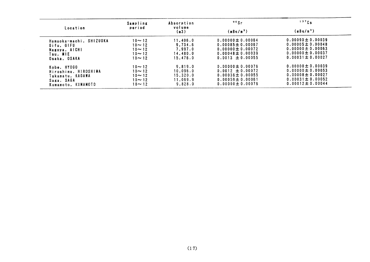|                         | Sampling                 | Absorption | $90$ Sr               | 137Cs                 |  |
|-------------------------|--------------------------|------------|-----------------------|-----------------------|--|
| Location                | period<br>volume<br>(m3) |            | (mBq/m <sup>3</sup> ) | (mBq/m <sup>3</sup> ) |  |
| Hamaoka-machi, SHIZUOKA | $10 - 12$                | 11.406.0   | $0.00000 \pm 0.00064$ | $0.00090 \pm 0.00039$ |  |
| Gifu. GIFU              | $10 \sim 12$             | 9.734.6    | $0.00085 \pm 0.00067$ | $0.00005 \pm 0.00048$ |  |
| Nagoya, AICHI           | $10 - 12$                | 7.997.0    | $0.00000 \pm 0.00072$ | $0.00000 \pm 0.00063$ |  |
| Tsu. MIE                | $10 - 12$                | 14.480.0   | $0.00048 \pm 0.00039$ | $0.00000 \pm 0.00037$ |  |
| Osaka, OSAKA            | $10 - 12$                | 15.476.0   | $0.0013 \pm 0.00055$  | $0.00031 \pm 0.00027$ |  |
| Kobe. HYOGO             | $10 - 12$                | 9.819.0    | $0.00000 \pm 0.00076$ | $0.00000 \pm 0.00039$ |  |
| Hiroshima, HIROSHIMA    | $10 - 12$                | 10.096.0   | $0.0012 \pm 0.00072$  | $0.00000 \pm 0.00053$ |  |
| Takamatu, KAGAWA        | $10 - 12$                | 15.320.0   | $0.00036 \pm 0.00055$ | $0.00008 \pm 0.00027$ |  |
| Saga, SAGA              | $10 - 12$                | 11.069.9   | $0.00059 \pm 0.00061$ | $0.00031 \pm 0.00052$ |  |
| Kumamoto, KUMAMOTO      | $10 - 12$                | 9.828.0    | $0.00000 \pm 0.00076$ | $0.00012 \pm 0.00044$ |  |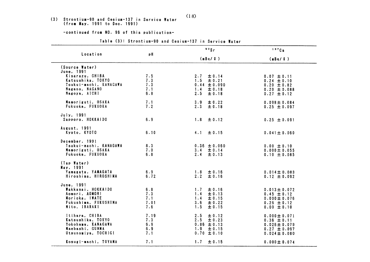# (3) Strontium-90 and Cesium-137 in Service Water<br>(from May. 1991 to Dec. 1991)

-continued from NO. 96 of this publication-

|                                             |             | 90Sr                              | 137Cs                                 |
|---------------------------------------------|-------------|-----------------------------------|---------------------------------------|
| Location                                    | рH          | (mBq / 2)                         | (mBq/l)                               |
| (Source Water)<br>June, 1991                |             |                                   |                                       |
| Kisarazu, CHIBA<br>Katsushika. TOKYO        | 7.5<br>7.3  | ± 0.14<br>2.7<br>± 0.21<br>1.5    | $0.07 \pm 0.11$<br>$0.24 \pm 0.10$    |
| Tsukui-machi, KANAGAWA<br>Nagano, NAGANO    | 7.3<br>7.1  | $0.44 \pm 0.090$<br>1.4<br>± 0.18 | $0.20 \pm 0.82$<br>$0.20 \pm 0.088$   |
| Nagoya, AICHI                               | 6.8         | 2.5<br>± 0.18                     | $0.27 \pm 0.12$                       |
| Mamoriguti, OSAKA<br>Fukuoka, FUKUOKA       | 7.1<br>7.2  | 3.9<br>± 0.22<br>2.3<br>± 0.18    | $0.098 \pm 0.084$<br>$0.25 \pm 0.097$ |
| July, 1991                                  |             |                                   |                                       |
| Sapporo, HOKKAIDO                           | 6.9         | 1.8<br>± 0.12                     | $0.25 \pm 0.091$                      |
| August, 1991<br>Kyoto, KYOTO                | 6.10        | 4.1<br>$\pm$ 0.15                 | $0.041 \pm 0.060$                     |
| December, 1991                              |             |                                   |                                       |
| Tsukui-machi, KANAGAWA<br>Mamoriguti, OSAKA | 8.3<br>7.0  | $0.36 \pm 0.060$                  | $0.00 \pm 0.10$                       |
| Fukuoka, FUKUOKA                            | 6.8         | $3.4 \pm 0.14$<br>2.4<br>± 0.13   | $0.000 \pm 0.055$<br>$0.10 \pm 0.085$ |
| (Tap Water)                                 |             |                                   |                                       |
| May, 1991<br>Yamagata, YAMAGATA             | 6.9         | $1.8 \pm 0.16$                    | $0.014 \pm 0.083$                     |
| Hiroshima, HIROSHIMA                        | 6.72        | 2.2<br>± 0.16                     | $0.12 \pm 0.092$                      |
| June, 1991<br>Wakkanai, HOKKA1DO            | 6.8         | ± 0.16<br>1.7                     | $0.013 \pm 0.072$                     |
| Aomori, AOMORI<br>Morioka, IWATE            | 7.3<br>7.1  | 1.4<br>± 0.13<br>1.4<br>± 0.15    | $0.45 \pm 0.12$<br>$0.000 \pm 0.076$  |
| Fukushima, FUKUSHIMA<br>Mito, IBARAKI       | 7.01<br>7.6 | 3.6<br>± 0.22<br>1.5<br>± 0.15    | $0.26 \pm 0.12$<br>$0.00 \pm 0.10$    |
|                                             |             |                                   |                                       |
| Itihara, CHIBA<br>Katsushika, TOKYO         | 7.19<br>7.3 | 2.5<br>± 0.12<br>2.5<br>± 0.23    | $0.000 \pm 0.071$<br>$0.36 \pm 0.11$  |
| Yokohama, KANAGAWA<br>Maebashi, GUNMA       | 6.9<br>6.9  | $0.86 \pm 0.13$<br>1.9<br>± 0.15  | $0.026 \pm 0.079$<br>$0.27 \pm 0.097$ |
| Utsunomiya, TOCHIGI                         | 7.1         | $0.70 \pm 0.10$                   | $0.024 \pm 0.080$                     |
| Kosugi-machi, TOYAMA                        | 7.1         | ± 0.15<br>1.7                     | $0.000 \pm 0.074$                     |

### Table (3): Strontium-90 and Cesium-137 in Service Water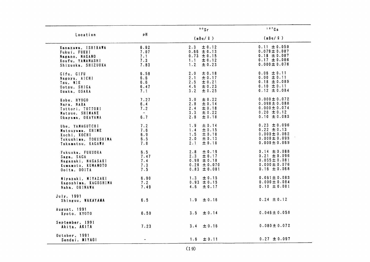|                                                                                                  |                                     | $90$ Sr                                                                                   | $137$ Cs                                                                                           |
|--------------------------------------------------------------------------------------------------|-------------------------------------|-------------------------------------------------------------------------------------------|----------------------------------------------------------------------------------------------------|
| Location                                                                                         | pH                                  | (mBq / 2)                                                                                 | (mBq / 2)                                                                                          |
| Kanazawa, ISHIKAWA<br>Fukui, FUKUI<br>Nagano, NAGANO<br>Koufu, YAMANASHI<br>Shizuoka, SHIZUOKA   | 6.62<br>7.07<br>7.1<br>7.3<br>7.83  | ± 0.12<br>2.3<br>$0.66 \pm 0.13$<br>$0.73 \pm 0.15$<br>$1.1 -$<br>± 0.12<br>1.2<br>± 0.23 | $0.11 \pm 0.059$<br>$0.079 \pm 0.087$<br>$0.18 \pm 0.087$<br>$0.17 \pm 0.086$<br>$0.000 \pm 0.076$ |
| Gifu, GIFU<br>Nagoya, AICHI<br>Tsu, MIE<br>Ootsu, SHIGA<br>Osaka, OSAKA                          | 6.58<br>6.6<br>6.6<br>6.47<br>7.1   | ± 0.18<br>2.0<br>± 0.17<br>2.1<br>2.5<br>± 0.21<br>4.6<br>± 0.23<br>± 0.25<br>$3 \cdot 2$ | $0.06 \pm 0.11$<br>$0.00 \pm 0.11$<br>$0.18 \pm 0.089$<br>$0.10 \pm 0.11$<br>$0.12 \pm 0.084$      |
| Kobe, HYOGO<br>Nara, NARA<br>Tottori, TOTTORI<br>Matsue, SHIMANE<br>Okayama, OKAYAMA             | 7.27<br>6.4<br>7.2<br>$\sim$<br>6.7 | ± 0.22<br>3.0<br>± 0.14<br>2.8<br>2.4<br>± 0.18<br>3.3<br>± 0.22<br>2.8<br>± 0.18         | $0.000 \pm 0.072$<br>$0.098 \pm 0.088$<br>$0.000 \pm 0.074$<br>$0.20 \pm 0.12$<br>$0.10 \pm 0.083$ |
| Ube, YAMAGUTCHI<br>Matsuyama, EHIME<br>Kochi, KOCHI<br>Tokushima, TOKUSHIMA<br>Takamatsu, KAGAWA | 7.2<br>7.6<br>6.9<br>6.5<br>7.8     | ± 0.14<br>1.9<br>1.4<br>± 0.15<br>1.5<br>± 0.18<br>2.0<br>± 0.13<br>± 0.18<br>2.1         | $0.23 \pm 0.096$<br>$0.22 \pm 0.13$<br>$0.000 \pm 0.062$<br>$0.000 \pm 0.093$<br>$0.000 \pm 0.069$ |
| Fukuoka, FUKUOKA<br>Saga, SAGA<br>Nagasaki, NAGASAKI<br>Kumamoto, KUMAMOTO<br>Ooita, OOITA       | 6.5<br>7.47<br>7.4<br>7.3<br>7.5    | ± 0.19<br>2.8<br>± 0.17<br>2.3<br>$0.98 \pm 0.18$<br>$0.28 \pm 0.070$<br>$0.83 \pm 0.081$ | $0.14 \pm 0.088$<br>$0.21 \pm 0.096$<br>$0.055 \pm 0.081$<br>$0.000 \pm 0.076$<br>$0.16 \pm 0.068$ |
| Miyazaki, MIYAZAKI<br>Kagoshima, KAGOSHIMA<br>Naha, OKINAWA                                      | 6.90<br>7.2<br>7.49                 | 1.3<br>± 0.15<br>$0.93 \pm 0.15$<br>$4.6 \pm 0.17$                                        | $0.061 \pm 0.083$<br>$0.000 \pm 0.084$<br>$0.10 \pm 0.081$                                         |
| July, 1991<br>Shinguu, WAKAYAMA                                                                  | 6.5                                 | 1.9<br>± 0.16                                                                             | $0.24 \pm 0.12$                                                                                    |
| August. 1991<br>Kyoto, KYOTO                                                                     | 6.50                                | 3.5<br>± 0.14                                                                             | $0.046 \pm 0.058$                                                                                  |
| September, 1991<br>Akita, AKITA                                                                  | 7.23                                | ± 0.16<br>3.4                                                                             | $0.080 \pm 0.072$                                                                                  |
| October, 1991<br>Sendai, MIYAGI                                                                  |                                     | ± 0.11<br>1.6                                                                             | $0.27 \pm 0.097$                                                                                   |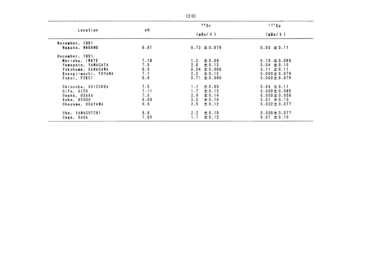|                                                                                                                      |                                   | 90Sr                                                                                      | 137Cs                                                                                             |
|----------------------------------------------------------------------------------------------------------------------|-----------------------------------|-------------------------------------------------------------------------------------------|---------------------------------------------------------------------------------------------------|
| Location                                                                                                             | рH                                | (mBq / 2)                                                                                 | (mBq / Q)                                                                                         |
| November, 1991<br>Nagano, NAGANO                                                                                     | 6.81                              | $0.72 \pm 0.079$                                                                          | $0.03 \pm 0.11$                                                                                   |
| December, 1991<br>Morioka, IWATE<br>Yamagata, YAMAGATA<br>Yokohama, KANAGAWA<br>Kosugi-machi, TOYAMA<br>Fukui, FUKUI | 7.18<br>7.0<br>6.9<br>7.1<br>6.9  | $1.2 \pm 0.09$<br>2.6<br>± 0.13<br>$0.54 \pm 0.068$<br>$2.2 \pm 0.12$<br>$0.71 \pm 0.080$ | $0.15 \pm 0.083$<br>$0.04 \pm 0.10$<br>$0.11 \pm 0.11$<br>$0.000 \pm 0.076$<br>$0.000 \pm 0.076$  |
| Shizuoka, SHIZUOKA<br>Gifu, GIFU<br>Osaka, OSAKA<br>Kobe, HYOGO<br>Okayama, OKAYAMA                                  | 7.5<br>7.11<br>7.0<br>6.69<br>6.9 | ±0.09<br>$1.1 -$<br>± 0.12<br>1.7<br>2.9<br>± 0.14<br>3.0<br>± 0.14<br>2.5<br>± 0.12      | $0.04 \pm 0.11$<br>$0.000 \pm 0.085$<br>$0.000 \pm 0.055$<br>$0.01 \pm 0.10$<br>$0.032 \pm 0.077$ |
| Ube, YAMAGUTCHI<br>Saga, SAGA                                                                                        | 6.8<br>7.65                       | $2 \cdot 2$<br>± 0.15<br>± 0.12<br>1.7                                                    | $0.000 \pm 0.077$<br>$0.07 \pm 0.10$                                                              |

 $\mathcal{L}^{\text{max}}_{\text{max}}$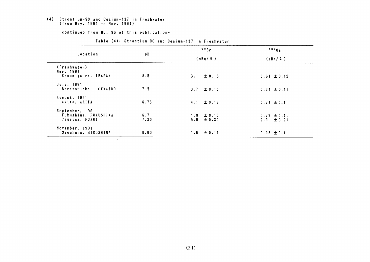# (4) Strontium-90 and Cesium-137 in Freshwater<br>(from May. 1991 to Nov. 1991)

-continued from NO. 96 of this publication-

|                                                           |             | 90Sr                             | $137$ Cs                          |  |
|-----------------------------------------------------------|-------------|----------------------------------|-----------------------------------|--|
| Location                                                  | рH          | (mBq / 2)                        | (mBq / Q)                         |  |
| (Freshwater)<br>May, 1991<br>Kasumigaura, IBARAKI         | 8.5         | 3.1 $\pm$ 0.16                   | $0.61 \pm 0.12$                   |  |
| July, 1991<br>Barato-lake, HOKKAIDO                       | 7.5         | 3.7 $\pm$ 0.15                   | $0.34 \pm 0.11$                   |  |
| August, 1991<br>Akita. AKITA                              | 6.76        | $4.1 \pm 0.18$                   | $0.74 \pm 0.11$                   |  |
| September, 1991<br>Fukushima, FUKUSHIMA<br>Tsuruga, FUKUI | 6.7<br>7.30 | $1.9 \pm 0.10$<br>$5.9 \pm 0.30$ | $0.79 \pm 0.11$<br>$2.9 \pm 0.21$ |  |
| November, 1991<br>Syouhara, HIROSHIMA                     | 6.60        | $1.6 \pm 0.11$                   | $0.05 \pm 0.11$                   |  |

### Table (4): Strontium-90 and Cesium-137 in Freshwater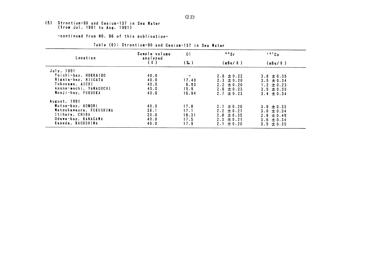### (5) Strontium-90 and Cesium-137 in Sea Water (from Jul. 1991 to Aug. 1991)

-continued from NO. 96 of this publication-

#### $90Sr$  $137$  Cs Sample volume  $C1$ Location analyzed  $(2)$  $(X_{0})$  $(mBa / Q)$  $(nBq/2)$ July, 1991 .<br>Yoichi-bay, HOKKAIDO  $40.0$  $\sim$  $2.6 \pm 0.22$  $3.8 \pm 0.35$ Nigata-bay, NIIGATA  $3.5 \pm 0.34$  $40.0$ 17.40  $2.3 \pm 0.20$ Tokoname, AICHI  $40.0$ 6.93  $2.2 \pm 0.20$  $1.2 \pm 0.23$ Asuna-machi, YAMAGUCHI  $2.6 \pm 0.23$  $40.0$  $15.9$  $3.5 \pm 0.35$ Monji-bay, FUKUOKA  $40.0$ 16.94  $2.7 \pm 0.23$  $3.4 \pm 0.34$ August, 1991 Mutsu-bay, AOMORI  $40.0$  $17.8$  $2.1 \pm 0.20$  $3.9 \pm 0.35$ Matsukawaura, FUKUSHIMA  $38.1$  $17.1$  $2.2 \pm 0.21$  $3.0 \pm 0.34$ Itihara, CHIBA  $20.0$ 18.31  $2.9 \pm 0.49$  $2.8 \pm 0.35$ Odawa-bay, KANAGAWA  $40.0$  $17.5$  $3.6 \pm 0.34$  $2.3 \pm 0.21$ Kaseda, KAGOSHIMA  $40.0$  $17.9$  $2.1 \pm 0.20$  $3.5 \pm 0.35$

### Table (6): Strontium-90 and Cesium-137 in Sea Water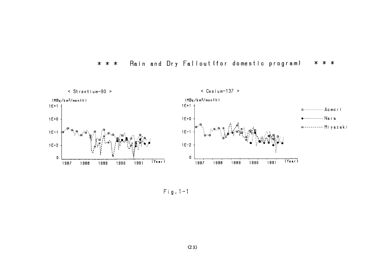

### \* \* \* Rain and Dry Fallout (for domestic program) \* \* \*

Fig.  $1-1$ 

 $\sim$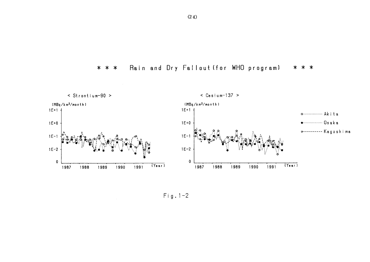



 $Fig. 1-2$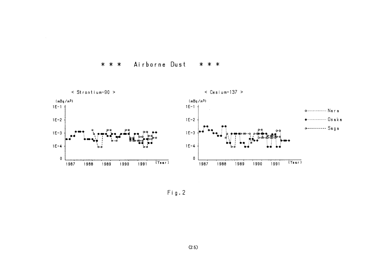



 $Fig. 2$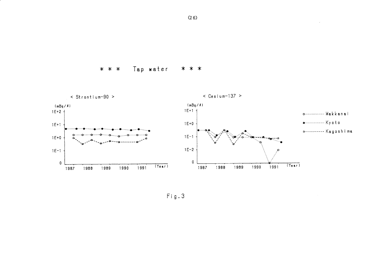Tap water \* \* \* \* \* \*



 $Fig. 3$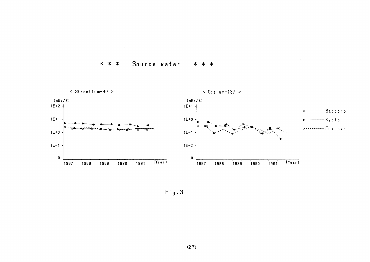#### Source water  $* * *$ \* \* \*



Fig.3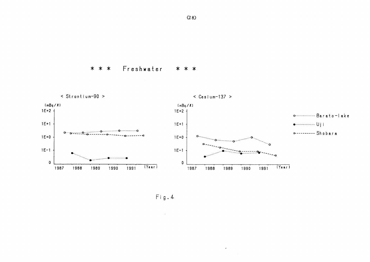Freshwater \* \* \* \* \* \*



 $\mathcal{A}^{\pm}$ 

 $Fig. 4$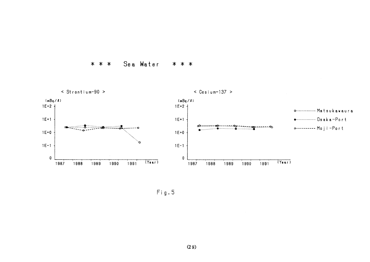



 $Fig. 5$